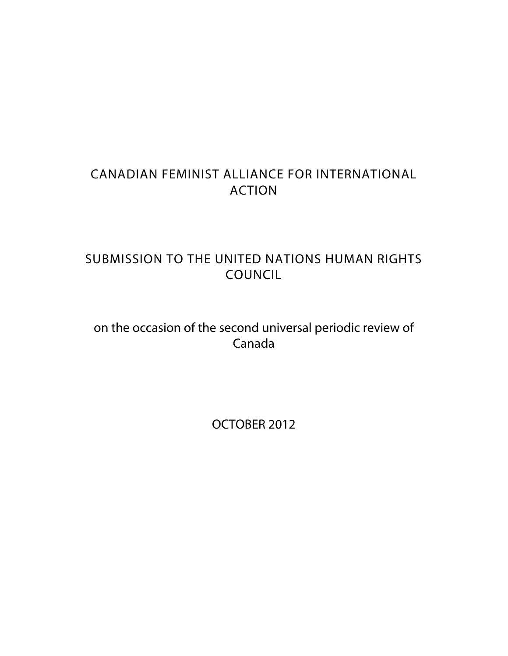# CANADIAN FEMINIST ALLIANCE FOR INTERNATIONAL ACTION

# SUBMISSION TO THE UNITED NATIONS HUMAN RIGHTS COUNCIL

on the occasion of the second universal periodic review of Canada

OCTOBER 2012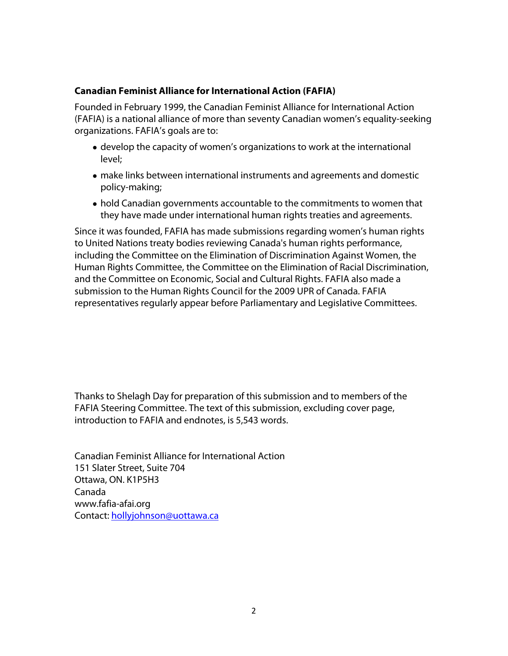#### **Canadian Feminist Alliance for International Action (FAFIA)**

Founded in February 1999, the Canadian Feminist Alliance for International Action (FAFIA) is a national alliance of more than seventy Canadian women's equality-seeking organizations. FAFIA's goals are to:

- develop the capacity of women's organizations to work at the international level;
- make links between international instruments and agreements and domestic policy-making;
- hold Canadian governments accountable to the commitments to women that they have made under international human rights treaties and agreements.

Since it was founded, FAFIA has made submissions regarding women's human rights to United Nations treaty bodies reviewing Canada's human rights performance, including the Committee on the Elimination of Discrimination Against Women, the Human Rights Committee, the Committee on the Elimination of Racial Discrimination, and the Committee on Economic, Social and Cultural Rights. FAFIA also made a submission to the Human Rights Council for the 2009 UPR of Canada. FAFIA representatives regularly appear before Parliamentary and Legislative Committees.

Thanks to Shelagh Day for preparation of this submission and to members of the FAFIA Steering Committee. The text of this submission, excluding cover page, introduction to FAFIA and endnotes, is 5,543 words.

Canadian Feminist Alliance for International Action 151 Slater Street, Suite 704 Ottawa, ON. K1P5H3 Canada www.fafia-afai.org Contact: [hollyjohnson@uottawa.ca](mailto:hollyjohnson@uottawa.ca)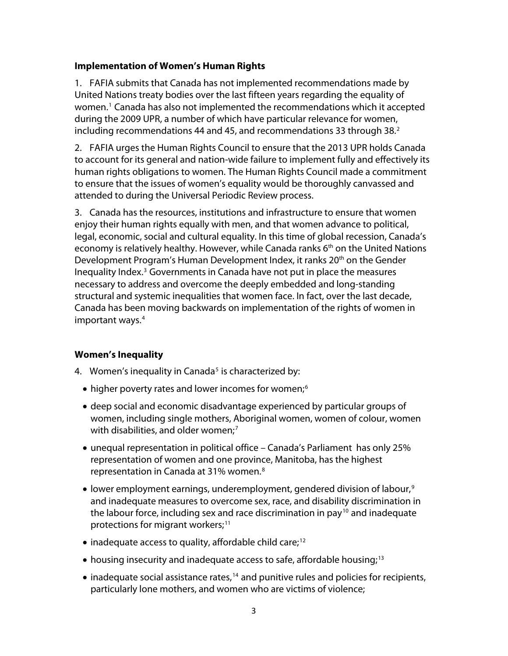#### **Implementation of Women's Human Rights**

1. FAFIA submits that Canada has not implemented recommendations made by United Nations treaty bodies over the last fifteen years regarding the equality of women.<sup>[1](#page-15-0)</sup> Canada has also not implemented the recommendations which it accepted during the 2009 UPR, a number of which have particular relevance for women, including recommendations 44 and 45, and recommendations 33 through 38.<sup>[2](#page-16-0)</sup>

2. FAFIA urges the Human Rights Council to ensure that the 2013 UPR holds Canada to account for its general and nation-wide failure to implement fully and effectively its human rights obligations to women. The Human Rights Council made a commitment to ensure that the issues of women's equality would be thoroughly canvassed and attended to during the Universal Periodic Review process.

3. Canada has the resources, institutions and infrastructure to ensure that women enjoy their human rights equally with men, and that women advance to political, legal, economic, social and cultural equality. In this time of global recession, Canada's economy is relatively healthy. However, while Canada ranks 6<sup>th</sup> on the United Nations Development Program's Human Development Index, it ranks 20<sup>th</sup> on the Gender Inequality Index.<sup>[3](#page-16-0)</sup> Governments in Canada have not put in place the measures necessary to address and overcome the deeply embedded and long-standing structural and systemic inequalities that women face. In fact, over the last decade, Canada has been moving backwards on implementation of the rights of women in important ways.<sup>[4](#page-16-0)</sup>

#### **Women's Inequality**

- 4. Women's inequality in Canada<sup>[5](#page-16-0)</sup> is characterized by:
	- higher poverty rates and lower incomes for women;<sup>[6](#page-16-0)</sup>
	- deep social and economic disadvantage experienced by particular groups of women, including single mothers, Aboriginal women, women of colour, women with disabilities, and older women; $<sup>7</sup>$  $<sup>7</sup>$  $<sup>7</sup>$ </sup>
	- unequal representation in political office Canada's Parliament has only 25% representation of women and one province, Manitoba, has the highest representation in Canada at 31% women.<sup>[8](#page-16-0)</sup>
	- lower employment earnings, underemployment, gendered division of labour,<sup>[9](#page-17-0)</sup> and inadequate measures to overcome sex, race, and disability discrimination in the labour force, including sex and race discrimination in pay<sup>[10](#page-17-0)</sup> and inadequate protections for migrant workers; [11](#page-17-0)
	- $\bullet$  inadequate access to quality, affordable child care;<sup>[12](#page-17-0)</sup>
	- $\bullet$  housing insecurity and inadequate access to safe, affordable housing;<sup>[13](#page-17-0)</sup>
	- $\bullet$  inadequate social assistance rates,<sup>[14](#page-17-0)</sup> and punitive rules and policies for recipients, particularly lone mothers, and women who are victims of violence;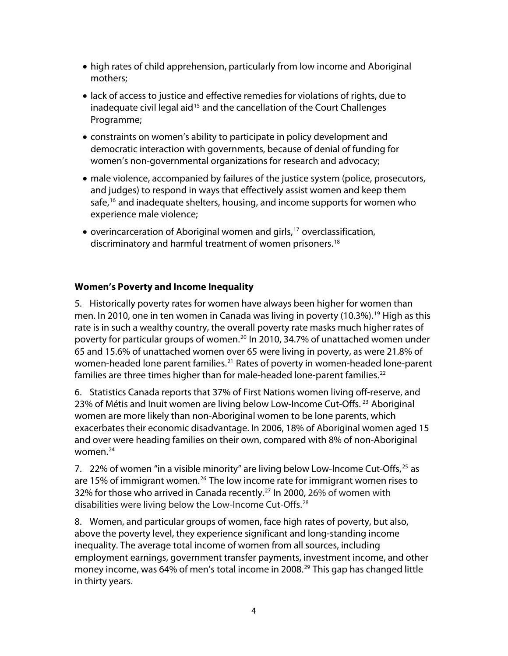- high rates of child apprehension, particularly from low income and Aboriginal mothers;
- lack of access to justice and effective remedies for violations of rights, due to inadequate civil legal aid<sup>[15](#page-17-0)</sup> and the cancellation of the Court Challenges Programme;
- constraints on women's ability to participate in policy development and democratic interaction with governments, because of denial of funding for women's non-governmental organizations for research and advocacy;
- male violence, accompanied by failures of the justice system (police, prosecutors, and judges) to respond in ways that effectively assist women and keep them safe,<sup>[16](#page-17-0)</sup> and inadequate shelters, housing, and income supports for women who experience male violence;
- overincarceration of Aboriginal women and girls,<sup>[17](#page-17-0)</sup> overclassification, discriminatory and harmful treatment of women prisoners.<sup>[18](#page-17-0)</sup>

### **Women's Poverty and Income Inequality**

5. Historically poverty rates for women have always been higher for women than men. In 2010, one in ten women in Canada was living in poverty (10.3%).<sup>[19](#page-17-0)</sup> High as this rate is in such a wealthy country, the overall poverty rate masks much higher rates of poverty for particular groups of women.<sup>[20](#page-17-0)</sup> In 2010, 34.7% of unattached women under 65 and 15.6% of unattached women over 65 were living in poverty, as were 21.8% of women-headed lone parent families.<sup>[21](#page-18-0)</sup> Rates of poverty in women-headed lone-parent families are three times higher than for male-headed lone-parent families.<sup>[22](#page-18-0)</sup>

6. Statistics Canada reports that 37% of First Nations women living off-reserve, and [23](#page-18-0)% of Métis and Inuit women are living below Low-Income Cut-Offs.<sup>23</sup> Aboriginal women are more likely than non-Aboriginal women to be lone parents, which exacerbates their economic disadvantage. In 2006, 18% of Aboriginal women aged 15 and over were heading families on their own, compared with 8% of non-Aboriginal women. $24$ 

7. 22% of women "in a visible minority" are living below Low-Income Cut-Offs,  $25$  as are 15% of immigrant women.<sup>[26](#page-18-0)</sup> The low income rate for immigrant women rises to 32% for those who arrived in Canada recently.<sup>[27](#page-18-0)</sup> In 2000, 26% of women with disabilities were living below the Low-Income Cut-Offs.<sup>[28](#page-18-0)</sup>

8. Women, and particular groups of women, face high rates of poverty, but also, above the poverty level, they experience significant and long-standing income inequality. The average total income of women from all sources, including employment earnings, government transfer payments, investment income, and other money income, was 64% of men's total income in 2008.<sup>[29](#page-19-0)</sup> This gap has changed little in thirty years.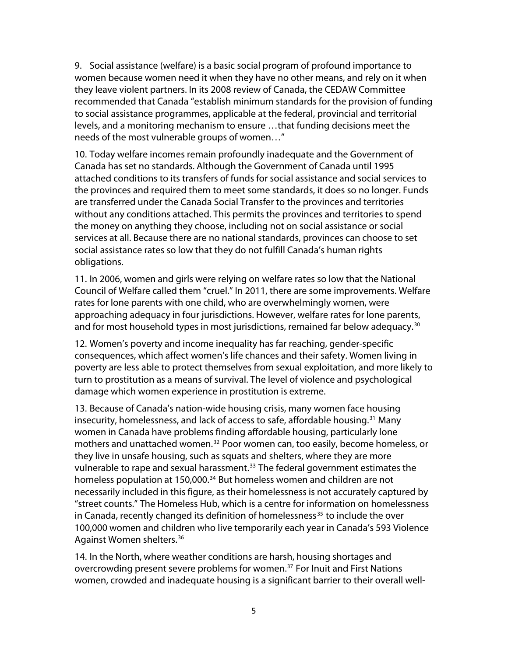9. Social assistance (welfare) is a basic social program of profound importance to women because women need it when they have no other means, and rely on it when they leave violent partners. In its 2008 review of Canada, the CEDAW Committee recommended that Canada "establish minimum standards for the provision of funding to social assistance programmes, applicable at the federal, provincial and territorial levels, and a monitoring mechanism to ensure …that funding decisions meet the needs of the most vulnerable groups of women…"

10. Today welfare incomes remain profoundly inadequate and the Government of Canada has set no standards. Although the Government of Canada until 1995 attached conditions to its transfers of funds for social assistance and social services to the provinces and required them to meet some standards, it does so no longer. Funds are transferred under the Canada Social Transfer to the provinces and territories without any conditions attached. This permits the provinces and territories to spend the money on anything they choose, including not on social assistance or social services at all. Because there are no national standards, provinces can choose to set social assistance rates so low that they do not fulfill Canada's human rights obligations.

11. In 2006, women and girls were relying on welfare rates so low that the National Council of Welfare called them "cruel." In 2011, there are some improvements. Welfare rates for lone parents with one child, who are overwhelmingly women, were approaching adequacy in four jurisdictions. However, welfare rates for lone parents, and for most household types in most jurisdictions, remained far below adequacy.<sup>[30](#page-19-0)</sup>

12. Women's poverty and income inequality has far reaching, gender-specific consequences, which affect women's life chances and their safety. Women living in poverty are less able to protect themselves from sexual exploitation, and more likely to turn to prostitution as a means of survival. The level of violence and psychological damage which women experience in prostitution is extreme.

13. Because of Canada's nation-wide housing crisis, many women face housing insecurity, homelessness, and lack of access to safe, affordable housing.<sup>[31](#page-19-0)</sup> Many women in Canada have problems finding affordable housing, particularly lone mothers and unattached women.<sup>[32](#page-19-0)</sup> Poor women can, too easily, become homeless, or they live in unsafe housing, such as squats and shelters, where they are more vulnerable to rape and sexual harassment.<sup>[33](#page-19-0)</sup> The federal government estimates the homeless population at 150,000.<sup>[34](#page-19-0)</sup> But homeless women and children are not necessarily included in this figure, as their homelessness is not accurately captured by "street counts." The Homeless Hub, which is a centre for information on homelessness in Canada, recently changed its definition of homelessness<sup>[35](#page-19-0)</sup> to include the over 100,000 women and children who live temporarily each year in Canada's 593 Violence Against Women shelters.[36](#page-19-0)

14. In the North, where weather conditions are harsh, housing shortages and overcrowding present severe problems for women.[37](#page-19-0) For Inuit and First Nations women, crowded and inadequate housing is a significant barrier to their overall well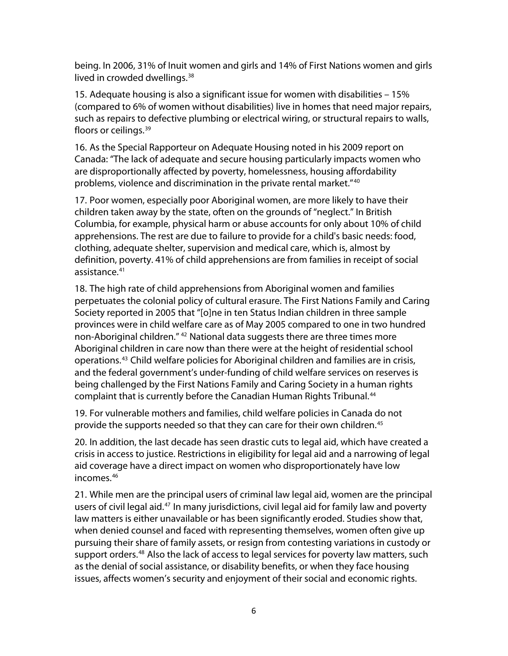being. In 2006, 31% of Inuit women and girls and 14% of First Nations women and girls lived in crowded dwellings.<sup>38</sup>

15. Adequate housing is also a significant issue for women with disabilities – 15% (compared to 6% of women without disabilities) live in homes that need major repairs, such as repairs to defective plumbing or electrical wiring, or structural repairs to walls, floors or ceilings.<sup>[39](#page-19-0)</sup>

16. As the Special Rapporteur on Adequate Housing noted in his 2009 report on Canada: "The lack of adequate and secure housing particularly impacts women who are disproportionally affected by poverty, homelessness, housing affordability problems, violence and discrimination in the private rental market."[40](#page-19-0)

17. Poor women, especially poor Aboriginal women, are more likely to have their children taken away by the state, often on the grounds of "neglect." In British Columbia, for example, physical harm or abuse accounts for only about 10% of child apprehensions. The rest are due to failure to provide for a child's basic needs: food, clothing, adequate shelter, supervision and medical care, which is, almost by definition, poverty. 41% of child apprehensions are from families in receipt of social assistance.<sup>[41](#page-20-0)</sup>

18. The high rate of child apprehensions from Aboriginal women and families perpetuates the colonial policy of cultural erasure. The First Nations Family and Caring Society reported in 2005 that "[o]ne in ten Status Indian children in three sample provinces were in child welfare care as of May 2005 compared to one in two hundred non-Aboriginal children."<sup>[42](#page-20-0)</sup> National data suggests there are three times more Aboriginal children in care now than there were at the height of residential school operations.[43](#page-20-0) Child welfare policies for Aboriginal children and families are in crisis, and the federal government's under-funding of child welfare services on reserves is being challenged by the First Nations Family and Caring Society in a human rights complaint that is currently before the Canadian Human Rights Tribunal.<sup>44</sup>

19. For vulnerable mothers and families, child welfare policies in Canada do not provide the supports needed so that they can care for their own children.<sup>[45](#page-20-0)</sup>

20. In addition, the last decade has seen drastic cuts to legal aid, which have created a crisis in access to justice. Restrictions in eligibility for legal aid and a narrowing of legal aid coverage have a direct impact on women who disproportionately have low incomes.[46](#page-20-0)

21. While men are the principal users of criminal law legal aid, women are the principal users of civil legal aid.[47](#page-20-0) In many jurisdictions, civil legal aid for family law and poverty law matters is either unavailable or has been significantly eroded. Studies show that, when denied counsel and faced with representing themselves, women often give up pursuing their share of family assets, or resign from contesting variations in custody or support orders.<sup>[48](#page-20-0)</sup> Also the lack of access to legal services for poverty law matters, such as the denial of social assistance, or disability benefits, or when they face housing issues, affects women's security and enjoyment of their social and economic rights.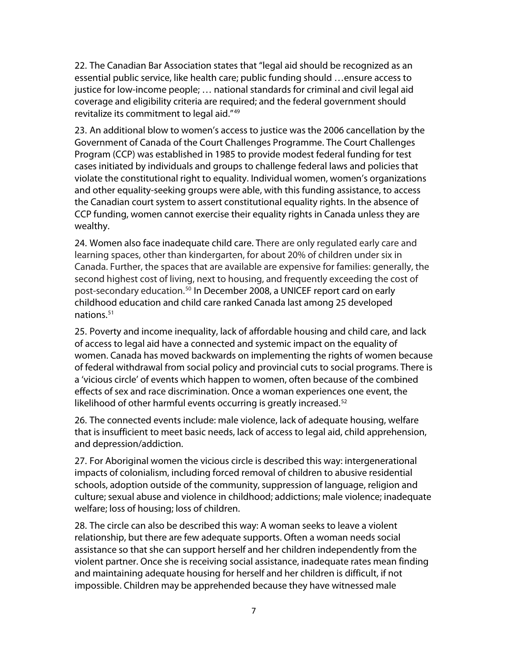22. The Canadian Bar Association states that "legal aid should be recognized as an essential public service, like health care; public funding should …ensure access to justice for low-income people; … national standards for criminal and civil legal aid coverage and eligibility criteria are required; and the federal government should revitalize its commitment to legal aid."[49](#page-20-0)

23. An additional blow to women's access to justice was the 2006 cancellation by the Government of Canada of the Court Challenges Programme. The Court Challenges Program (CCP) was established in 1985 to provide modest federal funding for test cases initiated by individuals and groups to challenge federal laws and policies that violate the constitutional right to equality. Individual women, women's organizations and other equality-seeking groups were able, with this funding assistance, to access the Canadian court system to assert constitutional equality rights. In the absence of CCP funding, women cannot exercise their equality rights in Canada unless they are wealthy.

24. Women also face inadequate child care. There are only regulated early care and learning spaces, other than kindergarten, for about 20% of children under six in Canada. Further, the spaces that are available are expensive for families: generally, the second highest cost of living, next to housing, and frequently exceeding the cost of post-secondary education.<sup>[50](#page-21-0)</sup> In December 2008, a UNICEF report card on early childhood education and child care ranked Canada last among 25 developed nations.[51](#page-21-0)

25. Poverty and income inequality, lack of affordable housing and child care, and lack of access to legal aid have a connected and systemic impact on the equality of women. Canada has moved backwards on implementing the rights of women because of federal withdrawal from social policy and provincial cuts to social programs. There is a 'vicious circle' of events which happen to women, often because of the combined effects of sex and race discrimination. Once a woman experiences one event, the likelihood of other harmful events occurring is greatly increased.<sup>[52](#page-21-0)</sup>

26. The connected events include: male violence, lack of adequate housing, welfare that is insufficient to meet basic needs, lack of access to legal aid, child apprehension, and depression/addiction.

27. For Aboriginal women the vicious circle is described this way: intergenerational impacts of colonialism, including forced removal of children to abusive residential schools, adoption outside of the community, suppression of language, religion and culture; sexual abuse and violence in childhood; addictions; male violence; inadequate welfare; loss of housing; loss of children.

28. The circle can also be described this way: A woman seeks to leave a violent relationship, but there are few adequate supports. Often a woman needs social assistance so that she can support herself and her children independently from the violent partner. Once she is receiving social assistance, inadequate rates mean finding and maintaining adequate housing for herself and her children is difficult, if not impossible. Children may be apprehended because they have witnessed male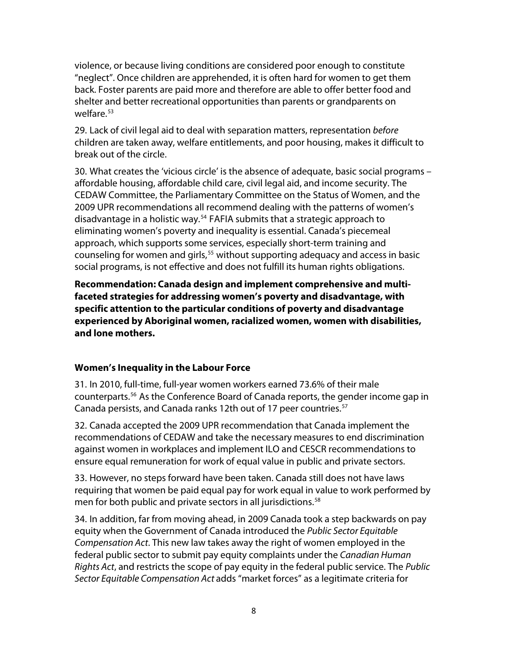violence, or because living conditions are considered poor enough to constitute "neglect". Once children are apprehended, it is often hard for women to get them back. Foster parents are paid more and therefore are able to offer better food and shelter and better recreational opportunities than parents or grandparents on welfare. $53$ 

29. Lack of civil legal aid to deal with separation matters, representation before children are taken away, welfare entitlements, and poor housing, makes it difficult to break out of the circle.

30. What creates the 'vicious circle' is the absence of adequate, basic social programs – affordable housing, affordable child care, civil legal aid, and income security. The CEDAW Committee, the Parliamentary Committee on the Status of Women, and the 2009 UPR recommendations all recommend dealing with the patterns of women's disadvantage in a holistic way.<sup>[54](#page-21-0)</sup> FAFIA submits that a strategic approach to eliminating women's poverty and inequality is essential. Canada's piecemeal approach, which supports some services, especially short-term training and counseling for women and girls,<sup>[55](#page-21-0)</sup> without supporting adequacy and access in basic social programs, is not effective and does not fulfill its human rights obligations.

**Recommendation: Canada design and implement comprehensive and multifaceted strategies for addressing women's poverty and disadvantage, with specific attention to the particular conditions of poverty and disadvantage experienced by Aboriginal women, racialized women, women with disabilities, and lone mothers.** 

#### **Women's Inequality in the Labour Force**

31. In 2010, full-time, full-year women workers earned 73.6% of their male counterparts.[56](#page-21-0) As the Conference Board of Canada reports, the gender income gap in Canada persists, and Canada ranks 12th out of 17 peer countries.<sup>[57](#page-22-0)</sup>

32. Canada accepted the 2009 UPR recommendation that Canada implement the recommendations of CEDAW and take the necessary measures to end discrimination against women in workplaces and implement ILO and CESCR recommendations to ensure equal remuneration for work of equal value in public and private sectors.

33. However, no steps forward have been taken. Canada still does not have laws requiring that women be paid equal pay for work equal in value to work performed by men for both public and private sectors in all jurisdictions.<sup>[58](#page-22-0)</sup>

34. In addition, far from moving ahead, in 2009 Canada took a step backwards on pay equity when the Government of Canada introduced the Public Sector Equitable Compensation Act. This new law takes away the right of women employed in the federal public sector to submit pay equity complaints under the Canadian Human Rights Act, and restricts the scope of pay equity in the federal public service. The Public Sector Equitable Compensation Act adds "market forces" as a legitimate criteria for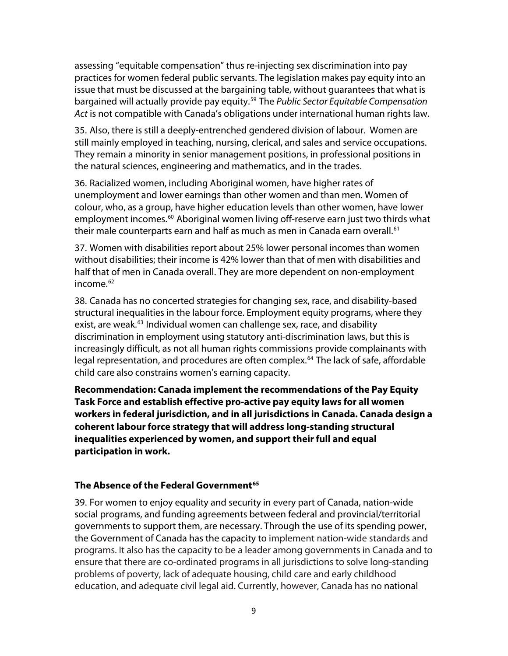assessing "equitable compensation" thus re-injecting sex discrimination into pay practices for women federal public servants. The legislation makes pay equity into an issue that must be discussed at the bargaining table, without guarantees that what is bargained will actually provide pay equity.<sup>59</sup> The Public Sector Equitable Compensation Act is not compatible with Canada's obligations under international human rights law.

35. Also, there is still a deeply-entrenched gendered division of labour. Women are still mainly employed in teaching, nursing, clerical, and sales and service occupations. They remain a minority in senior management positions, in professional positions in the natural sciences, engineering and mathematics, and in the trades.

36. Racialized women, including Aboriginal women, have higher rates of unemployment and lower earnings than other women and than men. Women of colour, who, as a group, have higher education levels than other women, have lower employment incomes.<sup>[60](#page-22-0)</sup> Aboriginal women living off-reserve earn just two thirds what their male counterparts earn and half as much as men in Canada earn overall.<sup>[61](#page-22-0)</sup>

37. Women with disabilities report about 25% lower personal incomes than women without disabilities; their income is 42% lower than that of men with disabilities and half that of men in Canada overall. They are more dependent on non-employment income.<sup>[62](#page-22-0)</sup>

38. Canada has no concerted strategies for changing sex, race, and disability-based structural inequalities in the labour force. Employment equity programs, where they exist, are weak.<sup>[63](#page-22-0)</sup> Individual women can challenge sex, race, and disability discrimination in employment using statutory anti-discrimination laws, but this is increasingly difficult, as not all human rights commissions provide complainants with legal representation, and procedures are often complex.<sup>[64](#page-23-0)</sup> The lack of safe, affordable child care also constrains women's earning capacity.

**Recommendation: Canada implement the recommendations of the Pay Equity Task Force and establish effective pro-active pay equity laws for all women workers in federal jurisdiction, and in all jurisdictions in Canada. Canada design a coherent labour force strategy that will address long-standing structural inequalities experienced by women, and support their full and equal participation in work.** 

#### **The Absence of the Federal Government[65](#page-23-0)**

39. For women to enjoy equality and security in every part of Canada, nation-wide social programs, and funding agreements between federal and provincial/territorial governments to support them, are necessary. Through the use of its spending power, the Government of Canada has the capacity to implement nation-wide standards and programs. It also has the capacity to be a leader among governments in Canada and to ensure that there are co-ordinated programs in all jurisdictions to solve long-standing problems of poverty, lack of adequate housing, child care and early childhood education, and adequate civil legal aid. Currently, however, Canada has no national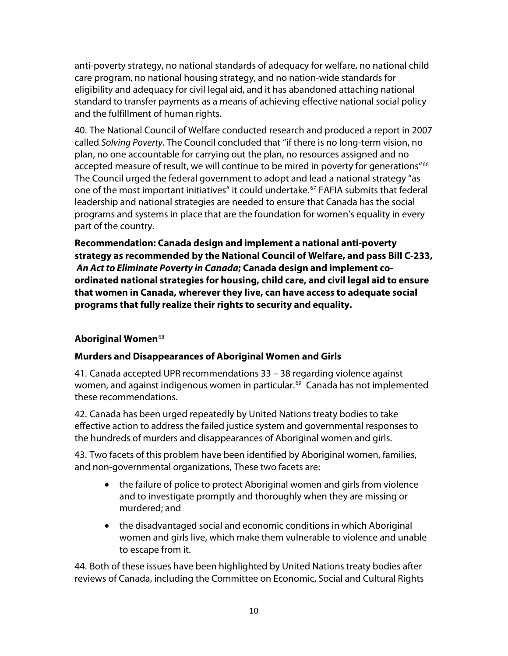anti-poverty strategy, no national standards of adequacy for welfare, no national child care program, no national housing strategy, and no nation-wide standards for eligibility and adequacy for civil legal aid, and it has abandoned attaching national standard to transfer payments as a means of achieving effective national social policy and the fulfillment of human rights.

40. The National Council of Welfare conducted research and produced a report in 2007 called Solving Poverty. The Council concluded that "if there is no long-term vision, no plan, no one accountable for carrying out the plan, no resources assigned and no accepted measure of result, we will continue to be mired in poverty for generations"<sup>[66](#page-23-0)</sup> The Council urged the federal government to adopt and lead a national strategy "as one of the most important initiatives" it could undertake.<sup>[67](#page-23-0)</sup> FAFIA submits that federal leadership and national strategies are needed to ensure that Canada has the social programs and systems in place that are the foundation for women's equality in every part of the country.

**Recommendation: Canada design and implement a national anti-poverty strategy as recommended by the National Council of Welfare, and pass Bill C-233, [An Act to Eliminate Poverty in Canada](http://www.cwp-csp.ca/wp-content/uploads/2010/11/Bill-C-545-An-Act-to-Eliminate-Poverty-in-Canada.pdf); Canada design and implement coordinated national strategies for housing, child care, and civil legal aid to ensure that women in Canada, wherever they live, can have access to adequate social programs that fully realize their rights to security and equality.** 

# **Aboriginal Women**[68](#page-23-0)

# **Murders and Disappearances of Aboriginal Women and Girls**

41. Canada accepted UPR recommendations 33 – 38 regarding violence against women, and against indigenous women in particular.<sup>[69](#page-23-0)</sup> Canada has not implemented these recommendations.

42. Canada has been urged repeatedly by United Nations treaty bodies to take effective action to address the failed justice system and governmental responses to the hundreds of murders and disappearances of Aboriginal women and girls.

43. Two facets of this problem have been identified by Aboriginal women, families, and non-governmental organizations, These two facets are:

- the failure of police to protect Aboriginal women and girls from violence and to investigate promptly and thoroughly when they are missing or murdered; and
- the disadvantaged social and economic conditions in which Aboriginal women and girls live, which make them vulnerable to violence and unable to escape from it.

44. Both of these issues have been highlighted by United Nations treaty bodies after reviews of Canada, including the Committee on Economic, Social and Cultural Rights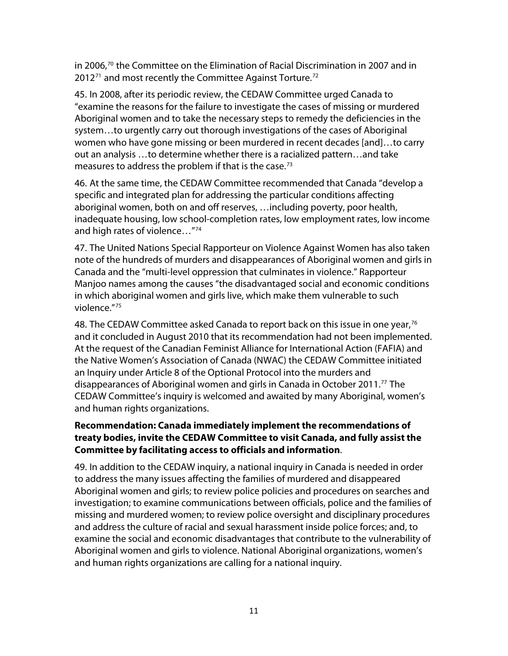in 2006,70 the Committee on the Elimination of Racial Discrimination in 2007 and in  $2012<sup>71</sup>$  and most recently the Committee Against Torture.<sup>72</sup>

45. In 2008, after its periodic review, the CEDAW Committee urged Canada to "examine the reasons for the failure to investigate the cases of missing or murdered Aboriginal women and to take the necessary steps to remedy the deficiencies in the system…to urgently carry out thorough investigations of the cases of Aboriginal women who have gone missing or been murdered in recent decades [and]…to carry out an analysis …to determine whether there is a racialized pattern…and take measures to address the problem if that is the case.<sup>[73](#page-24-0)</sup>

46. At the same time, the CEDAW Committee recommended that Canada "develop a specific and integrated plan for addressing the particular conditions affecting aboriginal women, both on and off reserves, …including poverty, poor health, inadequate housing, low school-completion rates, low employment rates, low income and high rates of violence…"[74](#page-24-0)

47. The United Nations Special Rapporteur on Violence Against Women has also taken note of the hundreds of murders and disappearances of Aboriginal women and girls in Canada and the "multi-level oppression that culminates in violence." Rapporteur Manjoo names among the causes "the disadvantaged social and economic conditions in which aboriginal women and girls live, which make them vulnerable to such violence."[75](#page-24-0)

48. The CEDAW Committee asked Canada to report back on this issue in one year,  $76$ and it concluded in August 2010 that its recommendation had not been implemented. At the request of the Canadian Feminist Alliance for International Action (FAFIA) and the Native Women's Association of Canada (NWAC) the CEDAW Committee initiated an Inquiry under Article 8 of the Optional Protocol into the murders and disappearances of Aboriginal women and girls in Canada in October 2011.[77](#page-24-0) The CEDAW Committee's inquiry is welcomed and awaited by many Aboriginal, women's and human rights organizations.

# **Recommendation: Canada immediately implement the recommendations of treaty bodies, invite the CEDAW Committee to visit Canada, and fully assist the Committee by facilitating access to officials and information**.

49. In addition to the CEDAW inquiry, a national inquiry in Canada is needed in order to address the many issues affecting the families of murdered and disappeared Aboriginal women and girls; to review police policies and procedures on searches and investigation; to examine communications between officials, police and the families of missing and murdered women; to review police oversight and disciplinary procedures and address the culture of racial and sexual harassment inside police forces; and, to examine the social and economic disadvantages that contribute to the vulnerability of Aboriginal women and girls to violence. National Aboriginal organizations, women's and human rights organizations are calling for a national inquiry.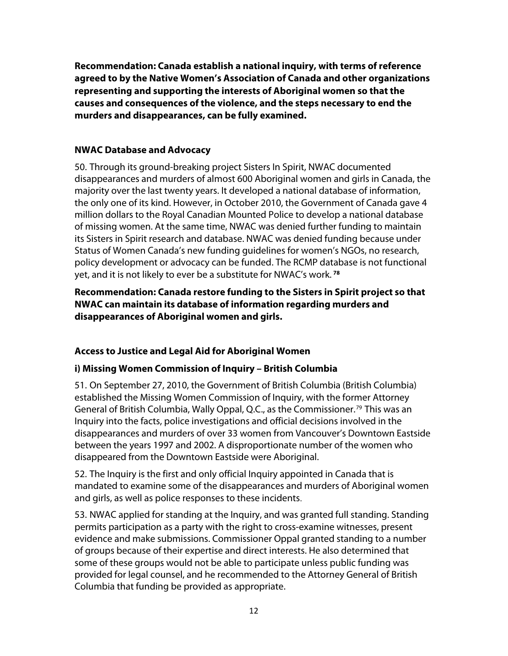**Recommendation: Canada establish a national inquiry, with terms of reference agreed to by the Native Women's Association of Canada and other organizations representing and supporting the interests of Aboriginal women so that the causes and consequences of the violence, and the steps necessary to end the murders and disappearances, can be fully examined.** 

## **NWAC Database and Advocacy**

50. Through its ground-breaking project Sisters In Spirit, NWAC documented disappearances and murders of almost 600 Aboriginal women and girls in Canada, the majority over the last twenty years. It developed a national database of information, the only one of its kind. However, in October 2010, the Government of Canada gave 4 million dollars to the Royal Canadian Mounted Police to develop a national database of missing women. At the same time, NWAC was denied further funding to maintain its Sisters in Spirit research and database. NWAC was denied funding because under Status of Women Canada's new funding guidelines for women's NGOs, no research, policy development or advocacy can be funded. The RCMP database is not functional yet, and it is not likely to ever be a substitute for NWAC's work. **[78](#page-24-0)**

**Recommendation: Canada restore funding to the Sisters in Spirit project so that NWAC can maintain its database of information regarding murders and disappearances of Aboriginal women and girls.** 

# **Access to Justice and Legal Aid for Aboriginal Women**

# **i) Missing Women Commission of Inquiry – British Columbia**

51. On September 27, 2010, the Government of British Columbia (British Columbia) established the Missing Women Commission of Inquiry, with the former Attorney General of British Columbia, Wally Oppal, Q.C., as the Commissioner.<sup>[79](#page-24-0)</sup> This was an Inquiry into the facts, police investigations and official decisions involved in the disappearances and murders of over 33 women from Vancouver's Downtown Eastside between the years 1997 and 2002. A disproportionate number of the women who disappeared from the Downtown Eastside were Aboriginal.

52. The Inquiry is the first and only official Inquiry appointed in Canada that is mandated to examine some of the disappearances and murders of Aboriginal women and girls, as well as police responses to these incidents.

53. NWAC applied for standing at the Inquiry, and was granted full standing. Standing permits participation as a party with the right to cross-examine witnesses, present evidence and make submissions. Commissioner Oppal granted standing to a number of groups because of their expertise and direct interests. He also determined that some of these groups would not be able to participate unless public funding was provided for legal counsel, and he recommended to the Attorney General of British Columbia that funding be provided as appropriate.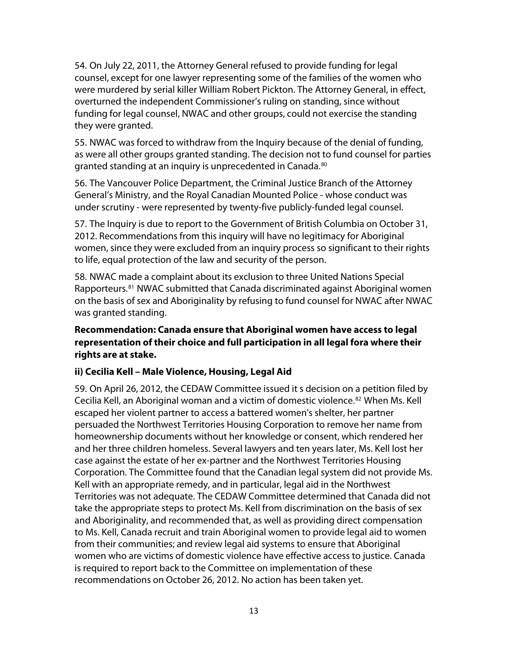54. On July 22, 2011, the Attorney General refused to provide funding for legal counsel, except for one lawyer representing some of the families of the women who were murdered by serial killer William Robert Pickton. The Attorney General, in effect, overturned the independent Commissioner's ruling on standing, since without funding for legal counsel, NWAC and other groups, could not exercise the standing they were granted.

55. NWAC was forced to withdraw from the Inquiry because of the denial of funding, as were all other groups granted standing. The decision not to fund counsel for parties granted standing at an inquiry is unprecedented in Canada.<sup>[80](#page-24-0)</sup>

56. The Vancouver Police Department, the Criminal Justice Branch of the Attorney General's Ministry, and the Royal Canadian Mounted Police - whose conduct was under scrutiny - were represented by twenty-five publicly-funded legal counsel.

57. The Inquiry is due to report to the Government of British Columbia on October 31, 2012. Recommendations from this inquiry will have no legitimacy for Aboriginal women, since they were excluded from an inquiry process so significant to their rights to life, equal protection of the law and security of the person.

58. NWAC made a complaint about its exclusion to three United Nations Special Rapporteurs.<sup>[81](#page-24-0)</sup> NWAC submitted that Canada discriminated against Aboriginal women on the basis of sex and Aboriginality by refusing to fund counsel for NWAC after NWAC was granted standing.

## **Recommendation: Canada ensure that Aboriginal women have access to legal representation of their choice and full participation in all legal fora where their rights are at stake.**

#### **ii) Cecilia Kell – Male Violence, Housing, Legal Aid**

59. On April 26, 2012, the CEDAW Committee issued it s decision on a petition filed by Cecilia Kell, an Aboriginal woman and a victim of domestic violence.<sup>[82](#page-25-0)</sup> When Ms. Kell escaped her violent partner to access a battered women's shelter, her partner persuaded the Northwest Territories Housing Corporation to remove her name from homeownership documents without her knowledge or consent, which rendered her and her three children homeless. Several lawyers and ten years later, Ms. Kell lost her case against the estate of her ex-partner and the Northwest Territories Housing Corporation. The Committee found that the Canadian legal system did not provide Ms. Kell with an appropriate remedy, and in particular, legal aid in the Northwest Territories was not adequate. The CEDAW Committee determined that Canada did not take the appropriate steps to protect Ms. Kell from discrimination on the basis of sex and Aboriginality, and recommended that, as well as providing direct compensation to Ms. Kell, Canada recruit and train Aboriginal women to provide legal aid to women from their communities; and review legal aid systems to ensure that Aboriginal women who are victims of domestic violence have effective access to justice. Canada is required to report back to the Committee on implementation of these recommendations on October 26, 2012. No action has been taken yet.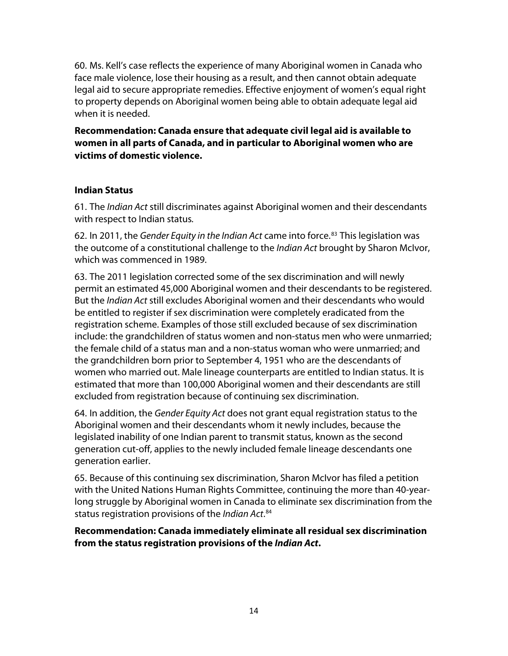60. Ms. Kell's case reflects the experience of many Aboriginal women in Canada who face male violence, lose their housing as a result, and then cannot obtain adequate legal aid to secure appropriate remedies. Effective enjoyment of women's equal right to property depends on Aboriginal women being able to obtain adequate legal aid when it is needed.

**Recommendation: Canada ensure that adequate civil legal aid is available to women in all parts of Canada, and in particular to Aboriginal women who are victims of domestic violence.** 

### **Indian Status**

61. The Indian Act still discriminates against Aboriginal women and their descendants with respect to Indian status.

62. In 2011, the Gender Equity in the Indian Act came into force.<sup>[83](#page-25-0)</sup> This legislation was the outcome of a constitutional challenge to the *Indian Act* brought by Sharon McIvor, which was commenced in 1989.

63. The 2011 legislation corrected some of the sex discrimination and will newly permit an estimated 45,000 Aboriginal women and their descendants to be registered. But the Indian Act still excludes Aboriginal women and their descendants who would be entitled to register if sex discrimination were completely eradicated from the registration scheme. Examples of those still excluded because of sex discrimination include: the grandchildren of status women and non-status men who were unmarried; the female child of a status man and a non-status woman who were unmarried; and the grandchildren born prior to September 4, 1951 who are the descendants of women who married out. Male lineage counterparts are entitled to Indian status. It is estimated that more than 100,000 Aboriginal women and their descendants are still excluded from registration because of continuing sex discrimination.

64. In addition, the Gender Equity Act does not grant equal registration status to the Aboriginal women and their descendants whom it newly includes, because the legislated inability of one Indian parent to transmit status, known as the second generation cut-off, applies to the newly included female lineage descendants one generation earlier.

65. Because of this continuing sex discrimination, Sharon McIvor has filed a petition with the United Nations Human Rights Committee, continuing the more than 40-yearlong struggle by Aboriginal women in Canada to eliminate sex discrimination from the status registration provisions of the Indian Act.<sup>[84](#page-25-0)</sup>

**Recommendation: Canada immediately eliminate all residual sex discrimination from the status registration provisions of the Indian Act.**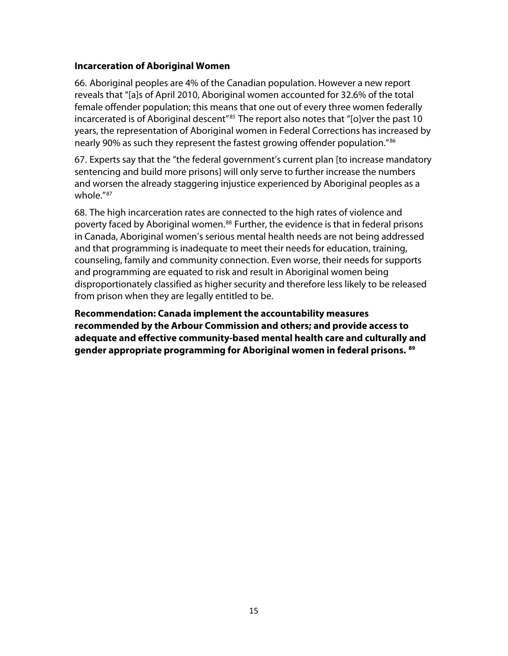#### **Incarceration of Aboriginal Women**

66. Aboriginal peoples are 4% of the Canadian population. However a new report reveals that "[a]s of April 2010, Aboriginal women accounted for 32.6% of the total female offender population; this means that one out of every three women federally incarcerated is of Aboriginal descent<sup>"[85](#page-25-0)</sup> The report also notes that "[o]ver the past 10 years, the representation of Aboriginal women in Federal Corrections has increased by nearly 90% as such they represent the fastest growing offender population."[86](#page-25-0)

67. Experts say that the "the federal government's current plan [to increase mandatory sentencing and build more prisons] will only serve to further increase the numbers and worsen the already staggering injustice experienced by Aboriginal peoples as a whole."[87](#page-25-0)

68. The high incarceration rates are connected to the high rates of violence and poverty faced by Aboriginal women.<sup>[88](#page-25-0)</sup> Further, the evidence is that in federal prisons in Canada, Aboriginal women's serious mental health needs are not being addressed and that programming is inadequate to meet their needs for education, traini ng, counseling, family and community connection. Even worse, their needs for supports and programming are equated to risk and result in Aboriginal women being disproportionately classified as higher security and therefore less likely to be released from prison when they are legally entitled to be.

**Recommendation: Canada implement the accountability measures recommended by the Arbour Commission and others; and provide access to adequate and effective community-based mental health care and culturally and gender appropriate programming for Aboriginal women in federal prisons. [89](#page-25-0)**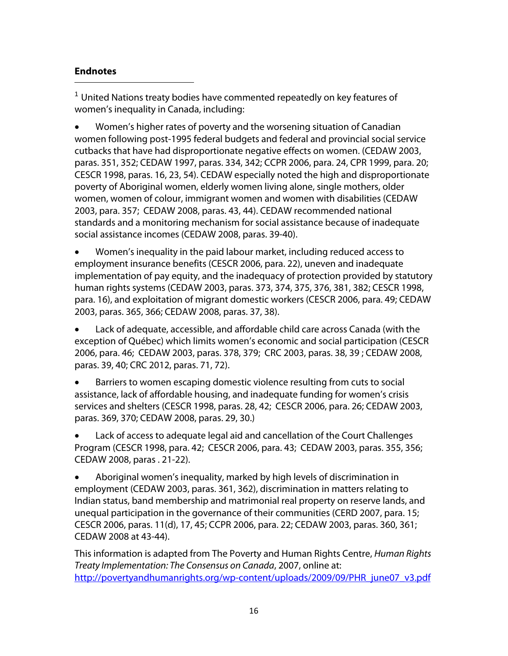# **Endnotes**

 $\overline{a}$ 

<span id="page-15-0"></span> $1$  United Nations treaty bodies have commented repeatedly on key features of women's inequality in Canada, including:

• Women's higher rates of poverty and the worsening situation of Canadian women following post-1995 federal budgets and federal and provincial social service cutbacks that have had disproportionate negative effects on women. (CEDAW 2003, paras. 351, 352; CEDAW 1997, paras. 334, 342; CCPR 2006, para. 24, CPR 1999, para. 20; CESCR 1998, paras. 16, 23, 54). CEDAW especially noted the high and disproportionate poverty of Aboriginal women, elderly women living alone, single mothers, older women, women of colour, immigrant women and women with disabilities (CEDAW 2003, para. 357; CEDAW 2008, paras. 43, 44). CEDAW recommended national standards and a monitoring mechanism for social assistance because of inadequate social assistance incomes (CEDAW 2008, paras. 39-40).

• Women's inequality in the paid labour market, including reduced access to employment insurance benefits (CESCR 2006, para. 22), uneven and inadequate implementation of pay equity, and the inadequacy of protection provided by statutory human rights systems (CEDAW 2003, paras. 373, 374, 375, 376, 381, 382; CESCR 1998, para. 16), and exploitation of migrant domestic workers (CESCR 2006, para. 49; CEDAW 2003, paras. 365, 366; CEDAW 2008, paras. 37, 38).

• Lack of adequate, accessible, and affordable child care across Canada (with the exception of Québec) which limits women's economic and social participation (CESCR 2006, para. 46; CEDAW 2003, paras. 378, 379; CRC 2003, paras. 38, 39 ; CEDAW 2008, paras. 39, 40; CRC 2012, paras. 71, 72).

Barriers to women escaping domestic violence resulting from cuts to social assistance, lack of affordable housing, and inadequate funding for women's crisis services and shelters (CESCR 1998, paras. 28, 42; CESCR 2006, para. 26; CEDAW 2003, paras. 369, 370; CEDAW 2008, paras. 29, 30.)

• Lack of access to adequate legal aid and cancellation of the Court Challenges Program (CESCR 1998, para. 42; CESCR 2006, para. 43; CEDAW 2003, paras. 355, 356; CEDAW 2008, paras . 21-22).

• Aboriginal women's inequality, marked by high levels of discrimination in employment (CEDAW 2003, paras. 361, 362), discrimination in matters relating to Indian status, band membership and matrimonial real property on reserve lands, and unequal participation in the governance of their communities (CERD 2007, para. 15; CESCR 2006, paras. 11(d), 17, 45; CCPR 2006, para. 22; CEDAW 2003, paras. 360, 361; CEDAW 2008 at 43-44).

This information is adapted from The Poverty and Human Rights Centre, *Human Rights* Treaty Implementation: The Consensus on Canada, 2007, online at: [http://povertyandhumanrights.org/wp-content/uploads/2009/09/PHR\\_june07\\_v3.pdf](http://povertyandhumanrights.org/wp-content/uploads/2009/09/PHR_june07_v3.pdf)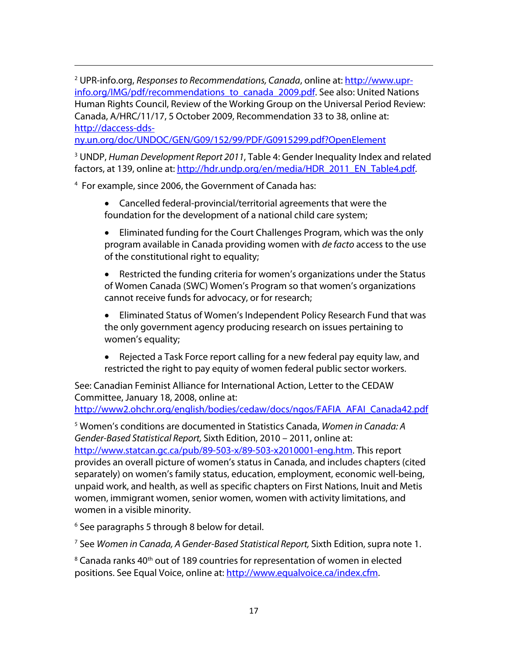<sup>2</sup> UPR-info.org, *Responses to Recommendations, Canada*, online at: <u>http://www.upr-</u> [info.org/IMG/pdf/recommendations\\_to\\_canada\\_2009.pdf.](http://www.upr-info.org/IMG/pdf/recommendations_to_canada_2009.pdf) See also: United Nations Human Rights Council, Review of the Working Group on the Universal Period Review: Canada, A/HRC/11/17, 5 October 2009, Recommendation 33 to 38, online at: [http://daccess-dds-](http://daccess-dds-ny.un.org/doc/UNDOC/GEN/G09/152/99/PDF/G0915299.pdf?OpenElement)

[ny.un.org/doc/UNDOC/GEN/G09/152/99/PDF/G0915299.pdf?OpenElement](http://daccess-dds-ny.un.org/doc/UNDOC/GEN/G09/152/99/PDF/G0915299.pdf?OpenElement)

<sup>3</sup> UNDP, Human Development Report 2011, Table 4: Gender Inequality Index and related factors, at 139, online at: [http://hdr.undp.org/en/media/HDR\\_2011\\_EN\\_Table4.pdf](http://hdr.undp.org/en/media/HDR_2011_EN_Table4.pdf).

4 For example, since 2006, the Government of Canada has:

<span id="page-16-0"></span> $\overline{a}$ 

- Cancelled federal-provincial/territorial agreements that were the foundation for the development of a national child care system;
- Eliminated funding for the Court Challenges Program, which was the only program available in Canada providing women with *de facto* access to the use of the constitutional right to equality;
- Restricted the funding criteria for women's organizations under the Status of Women Canada (SWC) Women's Program so that women's organizations cannot receive funds for advocacy, or for research;
- Eliminated Status of Women's Independent Policy Research Fund that was the only government agency producing research on issues pertaining to women's equality;
- Rejected a Task Force report calling for a new federal pay equity law, and restricted the right to pay equity of women federal public sector workers.

See: Canadian Feminist Alliance for International Action, Letter to the CEDAW Committee, January 18, 2008, online at: [http://www2.ohchr.org/english/bodies/cedaw/docs/ngos/FAFIA\\_AFAI\\_Canada42.pdf](http://www2.ohchr.org/english/bodies/cedaw/docs/ngos/FAFIA_AFAI_Canada42.pdf)

<sup>5</sup> Women's conditions are documented in Statistics Canada, *Women in Canada: A* Gender-Based Statistical Report, Sixth Edition, 2010 – 2011, online at: [http://www.statcan.gc.ca/pub/89-503-x/89-503-x2010001-eng.htm.](http://www.statcan.gc.ca/pub/89-503-x/89-503-x2010001-eng.htm) This report provides an overall picture of women's status in Canada, and includes chapters (cited separately) on women's family status, education, employment, economic well-being, unpaid work, and health, as well as specific chapters on First Nations, Inuit and Metis women, immigrant women, senior women, women with activity limitations, and women in a visible minority.

<sup>6</sup> See paragraphs 5 through 8 below for detail.

<sup>7</sup> See Women in Canada, A Gender-Based Statistical Report, Sixth Edition, supra note 1.

 $8$  Canada ranks 40<sup>th</sup> out of 189 countries for representation of women in elected positions. See Equal Voice, online at: [http://www.equalvoice.ca/index.cfm.](http://www.equalvoice.ca/index.cfm)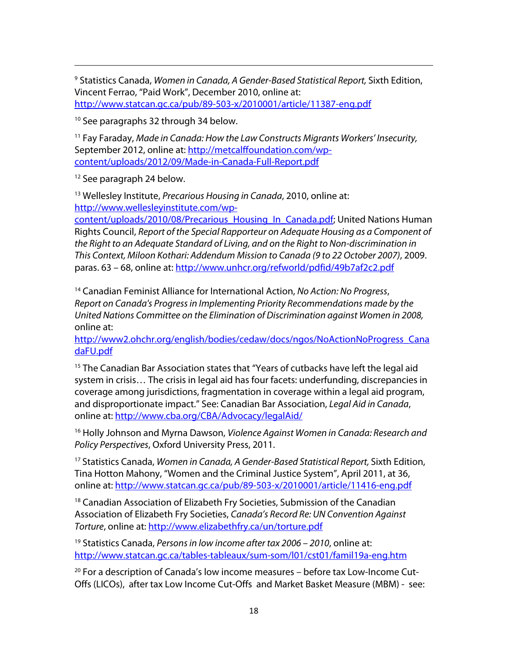<sup>9</sup> Statistics Canada, *Women in Canada, A Gender-Based Statistical Report, Sixth Edition,* Vincent Ferrao, "Paid Work", December 2010, online at: <http://www.statcan.gc.ca/pub/89-503-x/2010001/article/11387-eng.pdf>

<sup>10</sup> See paragraphs 32 through 34 below.

11 Fay Faraday, Made in Canada: How the Law Constructs Migrants Workers' Insecurity, September 2012, online at: [http://metcalffoundation.com/wp](http://metcalffoundation.com/wp-content/uploads/2012/09/Made-in-Canada-Full-Report.pdf)[content/uploads/2012/09/Made-in-Canada-Full-Report.pdf](http://metcalffoundation.com/wp-content/uploads/2012/09/Made-in-Canada-Full-Report.pdf)

<sup>12</sup> See paragraph 24 below.

<span id="page-17-0"></span> $\overline{a}$ 

<sup>13</sup> Wellesley Institute, Precarious Housing in Canada, 2010, online at: [http://www.wellesleyinstitute.com/wp-](http://www.wellesleyinstitute.com/wp-content/uploads/2010/08/Precarious_Housing_In_Canada.pdf)

[content/uploads/2010/08/Precarious\\_Housing\\_In\\_Canada.pdf;](http://www.wellesleyinstitute.com/wp-content/uploads/2010/08/Precarious_Housing_In_Canada.pdf) United Nations Human Rights Council, Report of the Special Rapporteur on Adequate Housing as a Component of the Right to an Adequate Standard of Living, and on the Right to Non-discrimination in This Context, Miloon Kothari: Addendum Mission to Canada (9 to 22 October 2007), 2009. paras. 63 – 68, online at: <http://www.unhcr.org/refworld/pdfid/49b7af2c2.pdf>

<sup>14</sup> Canadian Feminist Alliance for International Action, No Action: No Progress, Report on Canada's Progress in Implementing Priority Recommendations made by the United Nations Committee on the Elimination of Discrimination against Women in 2008, online at:

[http://www2.ohchr.org/english/bodies/cedaw/docs/ngos/NoActionNoProgress\\_Cana](http://www2.ohchr.org/english/bodies/cedaw/docs/ngos/NoActionNoProgress_CanadaFU.pdf) [daFU.pdf](http://www2.ohchr.org/english/bodies/cedaw/docs/ngos/NoActionNoProgress_CanadaFU.pdf)

<sup>15</sup> The Canadian Bar Association states that "Years of cutbacks have left the legal aid system in crisis… The crisis in legal aid has four facets: underfunding, discrepancies in coverage among jurisdictions, fragmentation in coverage within a legal aid program, and disproportionate impact." See: Canadian Bar Association, Legal Aid in Canada, online at: <http://www.cba.org/CBA/Advocacy/legalAid/>

<sup>16</sup> Holly Johnson and Myrna Dawson, Violence Against Women in Canada: Research and Policy Perspectives, Oxford University Press, 2011.

<sup>17</sup> Statistics Canada, *Women in Canada, A Gender-Based Statistical Report*, Sixth Edition, Tina Hotton Mahony, "Women and the Criminal Justice System", April 2011, at 36, online at: <http://www.statcan.gc.ca/pub/89-503-x/2010001/article/11416-eng.pdf>

<sup>18</sup> Canadian Association of Elizabeth Fry Societies, Submission of the Canadian Association of Elizabeth Fry Societies, Canada's Record Re: UN Convention Against Torture, online at: http://www.elizabethfry.ca/un/torture.pdf

<sup>19</sup> Statistics Canada, Persons in low income after tax  $2006 - 2010$ , online at: <http://www.statcan.gc.ca/tables-tableaux/sum-som/l01/cst01/famil19a-eng.htm>

 $20$  For a description of Canada's low income measures – before tax Low-Income Cut-Offs (LICOs), after tax Low Income Cut-Offs and Market Basket Measure (MBM) - see: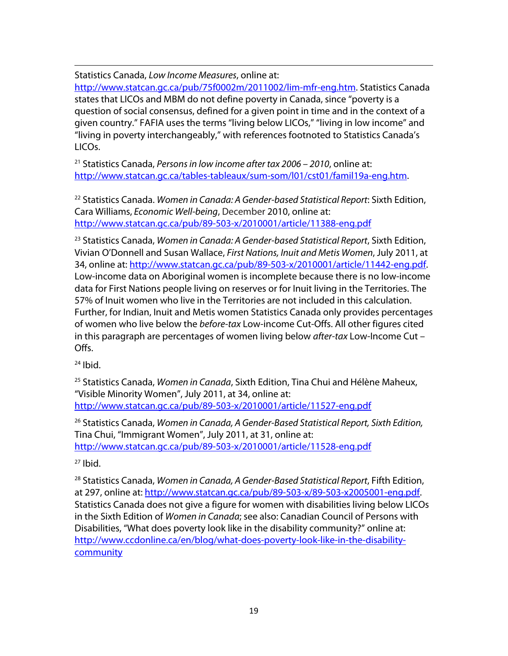<span id="page-18-0"></span>Statistics Canada, Low Income Measures, online at:

[http://www.statcan.gc.ca/pub/75f0002m/2011002/lim-mfr-eng.htm.](http://www.statcan.gc.ca/pub/75f0002m/2011002/lim-mfr-eng.htm) Statistics Canada states that LICOs and MBM do not define poverty in Canada, since "poverty is a question of social consensus, defined for a given point in time and in the context of a given country." FAFIA uses the terms "living below LICOs," "living in low income" and "living in poverty interchangeably," with references footnoted to Statistics Canada's LICOs.

<sup>21</sup> Statistics Canada, Persons in low income after tax  $2006 - 2010$ , online at: [http://www.statcan.gc.ca/tables-tableaux/sum-som/l01/cst01/famil19a-eng.htm.](http://www.statcan.gc.ca/tables-tableaux/sum-som/l01/cst01/famil19a-eng.htm)

<sup>22</sup> Statistics Canada. Women in Canada: A Gender-based Statistical Report: Sixth Edition, Cara Williams, Economic Well-being, December 2010, online at: <http://www.statcan.gc.ca/pub/89-503-x/2010001/article/11388-eng.pdf>

<sup>23</sup> Statistics Canada, *Women in Canada: A Gender-based Statistical Report*, Sixth Edition, Vivian O'Donnell and Susan Wallace, First Nations, Inuit and Metis Women, July 2011, at 34, online at: [http://www.statcan.gc.ca/pub/89-503-x/2010001/article/11442-eng.pdf.](http://www.statcan.gc.ca/pub/89-503-x/2010001/article/11442-eng.pdf) Low-income data on Aboriginal women is incomplete because there is no low-income data for First Nations people living on reserves or for Inuit living in the Territories. The 57% of Inuit women who live in the Territories are not included in this calculation. Further, for Indian, Inuit and Metis women Statistics Canada only provides percentages of women who live below the *before-tax* Low-income Cut-Offs. All other figures cited in this paragraph are percentages of women living below *after-tax* Low-Income Cut – Offs.

 $24$  Ibid.

 $\overline{a}$ 

<sup>25</sup> Statistics Canada, *Women in Canada*, Sixth Edition, Tina Chui and Hélène Maheux, "Visible Minority Women", July 2011, at 34, online at: <http://www.statcan.gc.ca/pub/89-503-x/2010001/article/11527-eng.pdf>

<sup>26</sup> Statistics Canada, Women in Canada, A Gender-Based Statistical Report, Sixth Edition, Tina Chui, "Immigrant Women", July 2011, at 31, online at: <http://www.statcan.gc.ca/pub/89-503-x/2010001/article/11528-eng.pdf>

 $27$  Ibid.

<sup>28</sup> Statistics Canada, *Women in Canada, A Gender-Based Statistical Report*, Fifth Edition, at 297, online at: <http://www.statcan.gc.ca/pub/89-503-x/89-503-x2005001-eng.pdf>. Statistics Canada does not give a figure for women with disabilities living below LICOs in the Sixth Edition of Women in Canada; see also: Canadian Council of Persons with Disabilities, "What does poverty look like in the disability community?" online at: [http://www.ccdonline.ca/en/blog/what-does-poverty-look-like-in-the-disability](http://www.ccdonline.ca/en/blog/what-does-poverty-look-like-in-the-disability-community)[community](http://www.ccdonline.ca/en/blog/what-does-poverty-look-like-in-the-disability-community)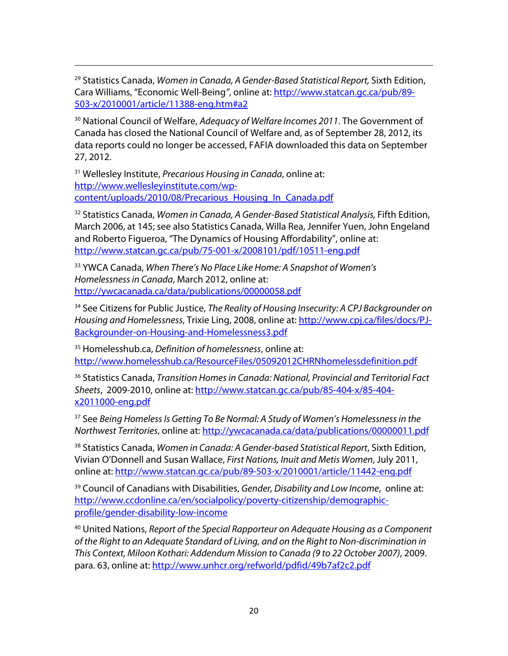<sup>29</sup> Statistics Canada, *Women in Canada, A Gender-Based Statistical Report*, Sixth Edition, Cara Williams, "Economic Well-Being", online at: [http://www.statcan.gc.ca/pub/89-](http://www.statcan.gc.ca/pub/89-503-x/2010001/article/11388-eng.htm%23a2) [503-x/2010001/article/11388-eng.htm#a2](http://www.statcan.gc.ca/pub/89-503-x/2010001/article/11388-eng.htm%23a2)

<sup>30</sup> National Council of Welfare, Adequacy of Welfare Incomes 2011. The Government of Canada has closed the National Council of Welfare and, as of September 28, 2012, its data reports could no longer be accessed, FAFIA downloaded this data on September 27, 2012.

<sup>31</sup> Wellesley Institute, Precarious Housing in Canada, online at: [http://www.wellesleyinstitute.com/wp](http://www.wellesleyinstitute.com/wp-content/uploads/2010/08/Precarious_Housing_In_Canada.pdf)[content/uploads/2010/08/Precarious\\_Housing\\_In\\_Canada.pdf](http://www.wellesleyinstitute.com/wp-content/uploads/2010/08/Precarious_Housing_In_Canada.pdf)

<span id="page-19-0"></span> $\overline{a}$ 

<sup>32</sup> Statistics Canada, *Women in Canada, A Gender-Based Statistical Analysis*, Fifth Edition, March 2006, at 145; see also Statistics Canada, Willa Rea, Jennifer Yuen, John Engeland and Roberto Figueroa, "The Dynamics of Housing Affordability", online at: <http://www.statcan.gc.ca/pub/75-001-x/2008101/pdf/10511-eng.pdf>

<sup>33</sup> YWCA Canada, When There's No Place Like Home: A Snapshot of Women's Homelessness in Canada, March 2012, online at: <http://ywcacanada.ca/data/publications/00000058.pdf>

<sup>34</sup> See Citizens for Public Justice, *The Reality of Housing Insecurity: A CPJ Backgrounder on* Housing and Homelessness, Trixie Ling, 2008, online at: [http://www.cpj.ca/files/docs/PJ-](http://www.cpj.ca/files/docs/PJ-Backgrounder-on-Housing-and-Homelessness3.pdf)[Backgrounder-on-Housing-and-Homelessness3.pdf](http://www.cpj.ca/files/docs/PJ-Backgrounder-on-Housing-and-Homelessness3.pdf)

<sup>35</sup> Homelesshub.ca, Definition of homelessness, online at: <http://www.homelesshub.ca/ResourceFiles/05092012CHRNhomelessdefinition.pdf>

<sup>36</sup> Statistics Canada, Transition Homes in Canada: National, Provincial and Territorial Fact Sheets, 2009-2010, online at: [http://www.statcan.gc.ca/pub/85-404-x/85-404](http://www.statcan.gc.ca/pub/85-404-x/85-404-x2011000-eng.pdf) [x2011000-eng.pdf](http://www.statcan.gc.ca/pub/85-404-x/85-404-x2011000-eng.pdf)

<sup>37</sup> See Being Homeless Is Getting To Be Normal: A Study of Women's Homelessness in the Northwest Territories, online at: <http://ywcacanada.ca/data/publications/00000011.pdf>

<sup>38</sup> Statistics Canada, Women in Canada: A Gender-based Statistical Report, Sixth Edition, Vivian O'Donnell and Susan Wallace, First Nations, Inuit and Metis Women, July 2011, online at: <http://www.statcan.gc.ca/pub/89-503-x/2010001/article/11442-eng.pdf>

<sup>39</sup> Council of Canadians with Disabilities, Gender, Disability and Low Income, online at: [http://www.ccdonline.ca/en/socialpolicy/poverty-citizenship/demographic](http://www.ccdonline.ca/en/socialpolicy/poverty-citizenship/demographic-profile/gender-disability-low-income)[profile/gender-disability-low-income](http://www.ccdonline.ca/en/socialpolicy/poverty-citizenship/demographic-profile/gender-disability-low-income)

<sup>40</sup> United Nations, Report of the Special Rapporteur on Adequate Housing as a Component of the Right to an Adequate Standard of Living, and on the Right to Non-discrimination in This Context, Miloon Kothari: Addendum Mission to Canada (9 to 22 October 2007), 2009. para. 63, online at: <http://www.unhcr.org/refworld/pdfid/49b7af2c2.pdf>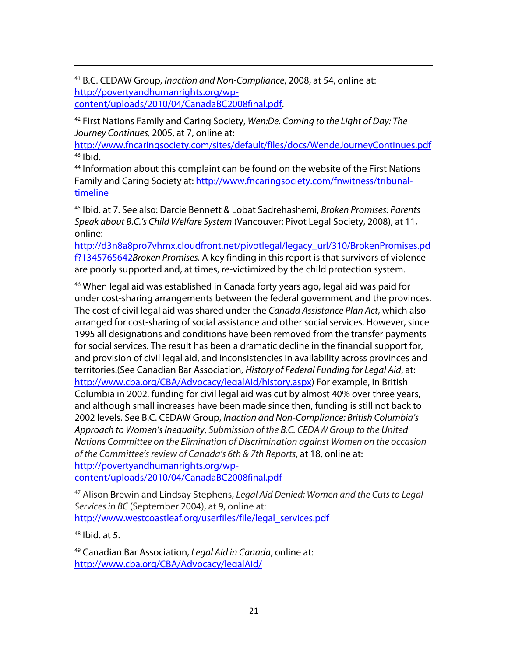<span id="page-20-0"></span><sup>41</sup> B.C. CEDAW Group, *Inaction and Non-Compliance*, 2008, at 54, online at: [http://povertyandhumanrights.org/wp](http://povertyandhumanrights.org/wp-content/uploads/2010/04/CanadaBC2008final.pdf)[content/uploads/2010/04/CanadaBC2008final.pdf.](http://povertyandhumanrights.org/wp-content/uploads/2010/04/CanadaBC2008final.pdf)

<sup>42</sup> First Nations Family and Caring Society, Wen:De. Coming to the Light of Day: The Journey Continues, 2005, at 7, online at:

<http://www.fncaringsociety.com/sites/default/files/docs/WendeJourneyContinues.pdf>  $43$  Ibid.

44 Information about this complaint can be found on the website of the First Nations Family and Caring Society at: [http://www.fncaringsociety.com/fnwitness/tribunal](http://www.fncaringsociety.com/fnwitness/tribunal-timeline)[timeline](http://www.fncaringsociety.com/fnwitness/tribunal-timeline)

45 Ibid. at 7. See also: Darcie Bennett & Lobat Sadrehashemi, Broken Promises: Parents Speak about B.C.'s Child Welfare System (Vancouver: Pivot Legal Society, 2008), at 11, online:

[http://d3n8a8pro7vhmx.cloudfront.net/pivotlegal/legacy\\_url/310/BrokenPromises.pd](http://d3n8a8pro7vhmx.cloudfront.net/pivotlegal/legacy_url/310/BrokenPromises.pdf?1345765642) [f?1345765642](http://d3n8a8pro7vhmx.cloudfront.net/pivotlegal/legacy_url/310/BrokenPromises.pdf?1345765642)Broken Promises. A key finding in this report is that survivors of violence are poorly supported and, at times, re-victimized by the child protection system.

46 When legal aid was established in Canada forty years ago, legal aid was paid for under cost-sharing arrangements between the federal government and the provinces. The cost of civil legal aid was shared under the Canada Assistance Plan Act, which also arranged for cost-sharing of social assistance and other social services. However, since 1995 all designations and conditions have been removed from the transfer payments for social services. The result has been a dramatic decline in the financial support for, and provision of civil legal aid, and inconsistencies in availability across provinces and territories.(See Canadian Bar Association, History of Federal Funding for Legal Aid, at: [http://www.cba.org/CBA/Advocacy/legalAid/history.aspx\)](http://www.cba.org/CBA/Advocacy/legalAid/history.aspx) For example, in British Columbia in 2002, funding for civil legal aid was cut by almost 40% over three years, and although small increases have been made since then, funding is still not back to 2002 levels. See B.C. CEDAW Group, Inaction and Non-Compliance: British Columbia's Approach to Women's Inequality, Submission of the B.C. CEDAW Group to the United Nations Committee on the Elimination of Discrimination against Women on the occasion of the Committee's review of Canada's 6th & 7th Reports, at 18, online at: [http://povertyandhumanrights.org/wp-](http://povertyandhumanrights.org/wp-content/uploads/2010/04/CanadaBC2008final.pdf)

[content/uploads/2010/04/CanadaBC2008final.pdf](http://povertyandhumanrights.org/wp-content/uploads/2010/04/CanadaBC2008final.pdf)

<sup>47</sup> Alison Brewin and Lindsay Stephens, Legal Aid Denied: Women and the Cuts to Legal Services in BC (September 2004), at 9, online at: [http://www.westcoastleaf.org/userfiles/file/legal\\_services.pdf](http://www.westcoastleaf.org/userfiles/file/legal_services.pdf)

48 Ibid. at 5.

 $\overline{a}$ 

<sup>49</sup> Canadian Bar Association, Legal Aid in Canada, online at: <http://www.cba.org/CBA/Advocacy/legalAid/>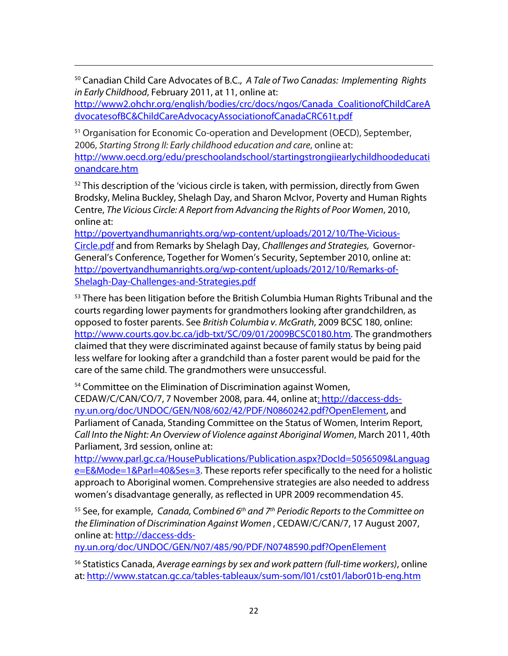<span id="page-21-0"></span> $50$  Canadian Child Care Advocates of B.C., A Tale of Two Canadas: Implementing Rights in Early Childhood, February 2011, at 11, online at:

 $\overline{a}$ 

[http://www2.ohchr.org/english/bodies/crc/docs/ngos/Canada\\_CoalitionofChildCareA](http://www2.ohchr.org/english/bodies/crc/docs/ngos/Canada_CoalitionofChildCareAdvocatesofBC&ChildCareAdvocacyAssociationofCanadaCRC61t.pdf) [dvocatesofBC&ChildCareAdvocacyAssociationofCanadaCRC61t.pdf](http://www2.ohchr.org/english/bodies/crc/docs/ngos/Canada_CoalitionofChildCareAdvocatesofBC&ChildCareAdvocacyAssociationofCanadaCRC61t.pdf)

<sup>51</sup> Organisation for Economic Co-operation and Development (OECD), September, 2006, Starting Strong II: Early childhood education and care, online at: [http://www.oecd.org/edu/preschoolandschool/startingstrongiiearlychildhoodeducati](http://www.oecd.org/edu/preschoolandschool/startingstrongiiearlychildhoodeducationandcare.htm) [onandcare.htm](http://www.oecd.org/edu/preschoolandschool/startingstrongiiearlychildhoodeducationandcare.htm)

 $52$  This description of the 'vicious circle is taken, with permission, directly from Gwen Brodsky, Melina Buckley, Shelagh Day, and Sharon McIvor, Poverty and Human Rights Centre, The Vicious Circle: A Report from Advancing the Rights of Poor Women, 2010, online at:

[http://povertyandhumanrights.org/wp-content/uploads/2012/10/The-Vicious-](http://povertyandhumanrights.org/wp-content/uploads/2012/10/The-Vicious-Circle.pdf)[Circle.pdf](http://povertyandhumanrights.org/wp-content/uploads/2012/10/The-Vicious-Circle.pdf) and from Remarks by Shelagh Day, Challlenges and Strategies, Governor-General's Conference, Together for Women's Security, September 2010, online at: [http://povertyandhumanrights.org/wp-content/uploads/2012/10/Remarks-of-](http://povertyandhumanrights.org/wp-content/uploads/2012/10/Remarks-of-Shelagh-Day-Challenges-and-Strategies.pdf)[Shelagh-Day-Challenges-and-Strategies.pdf](http://povertyandhumanrights.org/wp-content/uploads/2012/10/Remarks-of-Shelagh-Day-Challenges-and-Strategies.pdf)

<sup>53</sup> There has been litigation before the British Columbia Human Rights Tribunal and the courts regarding lower payments for grandmothers looking after grandchildren, as opposed to foster parents. See British Columbia v. McGrath, 2009 BCSC 180, online: [http://www.courts.gov.bc.ca/jdb-txt/SC/09/01/2009BCSC0180.htm.](http://www.courts.gov.bc.ca/jdb-txt/SC/09/01/2009BCSC0180.htm) The grandmothers claimed that they were discriminated against because of family status by being paid less welfare for looking after a grandchild than a foster parent would be paid for the care of the same child. The grandmothers were unsuccessful.

54 Committee on the Elimination of Discrimination against Women,

CEDAW/C/CAN/CO/7, 7 November 2008, para. 44, online at: http://daccess-ddsny.un.org/doc/UNDOC/GEN/N08/602/42/PDF/N0860242.pdf?OpenElement, and Parliament of Canada, Standing Committee on the Status of Women, Interim Report, Call Into the Night: An Overview of Violence against Aboriginal Women, March 2011, 40th Parliament, 3rd session, online at:

[http://www.parl.gc.ca/HousePublications/Publication.aspx?DocId=5056509&Languag](http://www.parl.gc.ca/HousePublications/Publication.aspx?DocId=5056509&Language=E&Mode=1&Parl=40&Ses=3) [e=E&Mode=1&Parl=40&Ses=3.](http://www.parl.gc.ca/HousePublications/Publication.aspx?DocId=5056509&Language=E&Mode=1&Parl=40&Ses=3) These reports refer specifically to the need for a holistic approach to Aboriginal women. Comprehensive strategies are also needed to address women's disadvantage generally, as reflected in UPR 2009 recommendation 45.

<sup>55</sup> See, for example, *Canada*, Combined  $6<sup>th</sup>$  and  $7<sup>th</sup>$  Periodic Reports to the Committee on the Elimination of Discrimination Against Women , CEDAW/C/CAN/7, 17 August 2007, online at: [http://daccess-dds-](http://daccess-dds-ny.un.org/doc/UNDOC/GEN/N07/485/90/PDF/N0748590.pdf?OpenElement)

[ny.un.org/doc/UNDOC/GEN/N07/485/90/PDF/N0748590.pdf?OpenElement](http://daccess-dds-ny.un.org/doc/UNDOC/GEN/N07/485/90/PDF/N0748590.pdf?OpenElement)

<sup>56</sup> Statistics Canada, Average earnings by sex and work pattern (full-time workers), online at: <http://www.statcan.gc.ca/tables-tableaux/sum-som/l01/cst01/labor01b-eng.htm>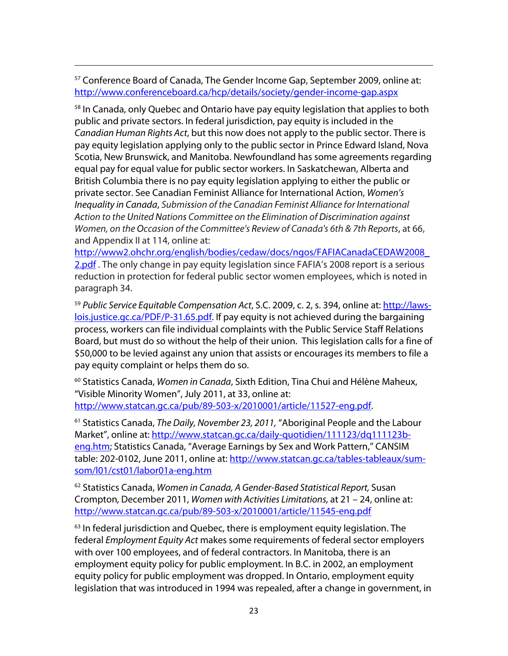57 Conference Board of Canada, The Gender Income Gap, September 2009, online at: <http://www.conferenceboard.ca/hcp/details/society/gender-income-gap.aspx>

<span id="page-22-0"></span> $\overline{\phantom{a}}$ 

<sup>58</sup> In Canada, only Quebec and Ontario have pay equity legislation that applies to both public and private sectors. In federal jurisdiction, pay equity is included in the Canadian Human Rights Act, but this now does not apply to the public sector. There is pay equity legislation applying only to the public sector in Prince Edward Island, Nova Scotia, New Brunswick, and Manitoba. Newfoundland has some agreements regarding equal pay for equal value for public sector workers. In Saskatchewan, Alberta and British Columbia there is no pay equity legislation applying to either the public or private sector. See Canadian Feminist Alliance for International Action, Women's Inequality in Canada, Submission of the Canadian Feminist Alliance for International Action to the United Nations Committee on the Elimination of Discrimination against Women, on the Occasion of the Committee's Review of Canada's 6th & 7th Reports, at 66, and Appendix II at 114, online at:

[http://www2.ohchr.org/english/bodies/cedaw/docs/ngos/FAFIACanadaCEDAW2008\\_](http://www2.ohchr.org/english/bodies/cedaw/docs/ngos/FAFIACanadaCEDAW2008_2.pdf) 2.pdf. The only change in pay equity legislation since FAFIA's 2008 report is a serious reduction in protection for federal public sector women employees, which is noted in paragraph 34.

<sup>59</sup> Public Service Equitable Compensation Act, S.C. 2009, c. 2, s. 394, online at: [http://laws](http://laws-lois.justice.gc.ca/PDF/P-31.65.pdf)[lois.justice.gc.ca/PDF/P-31.65.pdf](http://laws-lois.justice.gc.ca/PDF/P-31.65.pdf). If pay equity is not achieved during the bargaining process, workers can file individual complaints with the Public Service Staff Relations Board, but must do so without the help of their union. This legislation calls for a fine of \$50,000 to be levied against any union that assists or encourages its members to file a pay equity complaint or helps them do so.

 $60$  Statistics Canada, Women in Canada, Sixth Edition, Tina Chui and Hélène Maheux, "Visible Minority Women", July 2011, at 33, online at: [http://www.statcan.gc.ca/pub/89-503-x/2010001/article/11527-eng.pdf.](http://www.statcan.gc.ca/pub/89-503-x/2010001/article/11527-eng.pdf)

 $61$  Statistics Canada, The Daily, November 23, 2011, "Aboriginal People and the Labour Market", online at: [http://www.statcan.gc.ca/daily-quotidien/111123/dq111123b](http://www.statcan.gc.ca/daily-quotidien/111123/dq111123b-eng.htm)[eng.htm](http://www.statcan.gc.ca/daily-quotidien/111123/dq111123b-eng.htm); Statistics Canada, "Average Earnings by Sex and Work Pattern," CANSIM table: 202-0102, June 2011, online at: [http://www.statcan.gc.ca/tables-tableaux/sum](http://www.statcan.gc.ca/tables-tableaux/sum-som/l01/cst01/labor01a-eng.htm)[som/l01/cst01/labor01a-eng.htm](http://www.statcan.gc.ca/tables-tableaux/sum-som/l01/cst01/labor01a-eng.htm)

 $62$  Statistics Canada, Women in Canada, A Gender-Based Statistical Report, Susan Crompton, December 2011, Women with Activities Limitations, at 21 – 24, online at: <http://www.statcan.gc.ca/pub/89-503-x/2010001/article/11545-eng.pdf>

 $63$  In federal jurisdiction and Quebec, there is employment equity legislation. The federal Employment Equity Act makes some requirements of federal sector employers with over 100 employees, and of federal contractors. In Manitoba, there is an employment equity policy for public employment. In B.C. in 2002, an employment equity policy for public employment was dropped. In Ontario, employment equity legislation that was introduced in 1994 was repealed, after a change in government, in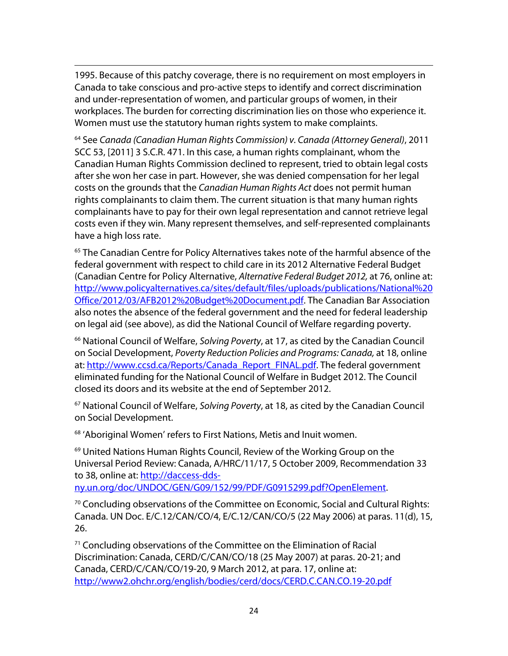<span id="page-23-0"></span>1995. Because of this patchy coverage, there is no requirement on most employers in Canada to take conscious and pro-active steps to identify and correct discrimination and under-representation of women, and particular groups of women, in their workplaces. The burden for correcting discrimination lies on those who experience it. Women must use the statutory human rights system to make complaints.

 $\overline{\phantom{a}}$ 

64 See Canada (Canadian Human Rights Commission) v. Canada (Attorney General), 2011 SCC 53, [2011] 3 S.C.R. 471. In this case, a human rights complainant, whom the Canadian Human Rights Commission declined to represent, tried to obtain legal costs after she won her case in part. However, she was denied compensation for her legal costs on the grounds that the *Canadian Human Rights Act* does not permit human rights complainants to claim them. The current situation is that many human rights complainants have to pay for their own legal representation and cannot retrieve legal costs even if they win. Many represent themselves, and self-represented complainants have a high loss rate.

 $65$  The Canadian Centre for Policy Alternatives takes note of the harmful absence of the federal government with respect to child care in its 2012 Alternative Federal Budget (Canadian Centre for Policy Alternative, Alternative Federal Budget 2012, at 76, online at: [http://www.policyalternatives.ca/sites/default/files/uploads/publications/National%20](http://www.policyalternatives.ca/sites/default/files/uploads/publications/National%20Office/2012/03/AFB2012%20Budget%20Document.pdf) [Office/2012/03/AFB2012%20Budget%20Document.pdf](http://www.policyalternatives.ca/sites/default/files/uploads/publications/National%20Office/2012/03/AFB2012%20Budget%20Document.pdf). The Canadian Bar Association also notes the absence of the federal government and the need for federal leadership on legal aid (see above), as did the National Council of Welfare regarding poverty.

<sup>66</sup> National Council of Welfare, Solving Poverty, at 17, as cited by the Canadian Council on Social Development, Poverty Reduction Policies and Programs: Canada, at 18, online at: [http://www.ccsd.ca/Reports/Canada\\_Report\\_FINAL.pdf](http://www.ccsd.ca/Reports/Canada_Report_FINAL.pdf). The federal government eliminated funding for the National Council of Welfare in Budget 2012. The Council closed its doors and its website at the end of September 2012.

<sup>67</sup> National Council of Welfare, Solving Poverty, at 18, as cited by the Canadian Council on Social Development.

68 'Aboriginal Women' refers to First Nations, Metis and Inuit women.

 $69$  United Nations Human Rights Council, Review of the Working Group on the Universal Period Review: Canada, A/HRC/11/17, 5 October 2009, Recommendation 33 to 38, online at: [http://daccess-dds-](http://daccess-dds-ny.un.org/doc/UNDOC/GEN/G09/152/99/PDF/G0915299.pdf?OpenElement)

[ny.un.org/doc/UNDOC/GEN/G09/152/99/PDF/G0915299.pdf?OpenElement](http://daccess-dds-ny.un.org/doc/UNDOC/GEN/G09/152/99/PDF/G0915299.pdf?OpenElement).

 $70$  Concluding observations of the Committee on Economic, Social and Cultural Rights: Canada. UN Doc. E/C.12/CAN/CO/4, E/C.12/CAN/CO/5 (22 May 2006) at paras. 11(d), 15, 26.

 $71$  Concluding observations of the Committee on the Elimination of Racial Discrimination: Canada, CERD/C/CAN/CO/18 (25 May 2007) at paras. 20-21; and Canada, CERD/C/CAN/CO/19-20, 9 March 2012, at para. 17, online at: <http://www2.ohchr.org/english/bodies/cerd/docs/CERD.C.CAN.CO.19-20.pdf>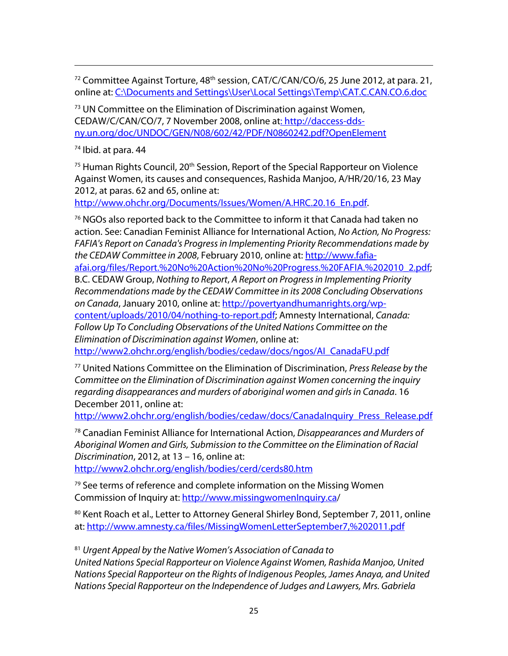<span id="page-24-0"></span> $72$  Committee Against Torture,  $48<sup>th</sup>$  session, CAT/C/CAN/CO/6, 25 June 2012, at para. 21, online at: C:\Documents and Settings\User\Local Settings\Temp\CAT.C.CAN.CO.6.doc

 $73$  UN Committee on the Elimination of Discrimination against Women, CEDAW/C/CAN/CO/7, 7 November 2008, online at: http://daccess-ddsny.un.org/doc/UNDOC/GEN/N08/602/42/PDF/N0860242.pdf?OpenElement

74 Ibid. at para. 44

 $\overline{\phantom{a}}$ 

 $75$  Human Rights Council, 20<sup>th</sup> Session, Report of the Special Rapporteur on Violence Against Women, its causes and consequences, Rashida Manjoo, A/HR/20/16, 23 May 2012, at paras. 62 and 65, online at:

http://www.ohchr.org/Documents/Issues/Women/A.HRC.20.16 En.pdf.

 $76$  NGOs also reported back to the Committee to inform it that Canada had taken no action. See: Canadian Feminist Alliance for International Action, No Action, No Progress: FAFIA's Report on Canada's Progress in Implementing Priority Recommendations made by the CEDAW Committee in 2008, February 2010, online at: [http://www.fafia](http://www.fafia-afai.org/files/Report.%20No%20Action%20No%20Progress.%20FAFIA.%202010_2.pdf)[afai.org/files/Report.%20No%20Action%20No%20Progress.%20FAFIA.%202010\\_2.pdf](http://www.fafia-afai.org/files/Report.%20No%20Action%20No%20Progress.%20FAFIA.%202010_2.pdf); B.C. CEDAW Group, Nothing to Report, A Report on Progress in Implementing Priority Recommendations made by the CEDAW Committee in its 2008 Concluding Observations on Canada, January 2010, online at: [http://povertyandhumanrights.org/wp](http://povertyandhumanrights.org/wp-content/uploads/2010/04/nothing-to-report.pdf)[content/uploads/2010/04/nothing-to-report.pdf;](http://povertyandhumanrights.org/wp-content/uploads/2010/04/nothing-to-report.pdf) Amnesty International, Canada: Follow Up To Concluding Observations of the United Nations Committee on the Elimination of Discrimination against Women, online at: [http://www2.ohchr.org/english/bodies/cedaw/docs/ngos/AI\\_CanadaFU.pdf](http://www2.ohchr.org/english/bodies/cedaw/docs/ngos/AI_CanadaFU.pdf)

 $77$  United Nations Committee on the Elimination of Discrimination, Press Release by the Committee on the Elimination of Discrimination against Women concerning the inquiry regarding disappearances and murders of aboriginal women and girls in Canada. 16 December 2011, online at:

[http://www2.ohchr.org/english/bodies/cedaw/docs/CanadaInquiry\\_Press\\_Release.pdf](http://www2.ohchr.org/english/bodies/cedaw/docs/CanadaInquiry_Press_Release.pdf)

<sup>78</sup> Canadian Feminist Alliance for International Action, Disappearances and Murders of Aboriginal Women and Girls, Submission to the Committee on the Elimination of Racial Discrimination, 2012, at 13 – 16, online at:

<http://www2.ohchr.org/english/bodies/cerd/cerds80.htm>

 $79$  See terms of reference and complete information on the Missing Women Commission of Inquiry at: http://www.missingwomenInquiry.ca/

<sup>80</sup> Kent Roach et al., Letter to Attorney General Shirley Bond, September 7, 2011, online at: <http://www.amnesty.ca/files/MissingWomenLetterSeptember7,%202011.pdf>

<sup>81</sup> Urgent Appeal by the Native Women's Association of Canada to United Nations Special Rapporteur on Violence Against Women, Rashida Manjoo, United Nations Special Rapporteur on the Rights of Indigenous Peoples, James Anaya, and United Nations Special Rapporteur on the Independence of Judges and Lawyers, Mrs. Gabriela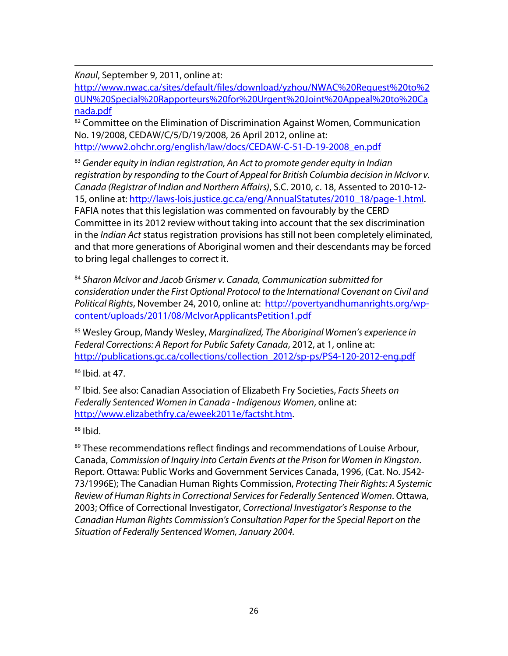<span id="page-25-0"></span>Knaul, September 9, 2011, online at:

 $\overline{\phantom{a}}$ 

[http://www.nwac.ca/sites/default/files/download/yzhou/NWAC%20Request%20to%2](http://www.nwac.ca/sites/default/files/download/yzhou/NWAC%20Request%20to%20UN%20Special%20Rapporteurs%20for%20Urgent%20Joint%20Appeal%20to%20Canada.pdf) [0UN%20Special%20Rapporteurs%20for%20Urgent%20Joint%20Appeal%20to%20Ca](http://www.nwac.ca/sites/default/files/download/yzhou/NWAC%20Request%20to%20UN%20Special%20Rapporteurs%20for%20Urgent%20Joint%20Appeal%20to%20Canada.pdf) [nada.pdf](http://www.nwac.ca/sites/default/files/download/yzhou/NWAC%20Request%20to%20UN%20Special%20Rapporteurs%20for%20Urgent%20Joint%20Appeal%20to%20Canada.pdf)

82 Committee on the Elimination of Discrimination Against Women, Communication No. 19/2008, CEDAW/C/5/D/19/2008, 26 April 2012, online at: [http://www2.ohchr.org/english/law/docs/CEDAW-C-51-D-19-2008\\_en.pdf](http://www2.ohchr.org/english/law/docs/CEDAW-C-51-D-19-2008_en.pdf)

 $83$  Gender equity in Indian registration, An Act to promote gender equity in Indian registration by responding to the Court of Appeal for British Columbia decision in McIvor v. Canada (Registrar of Indian and Northern Affairs), S.C. 2010, c. 18, Assented to 2010-12- 15, online at: [http://laws-lois.justice.gc.ca/eng/AnnualStatutes/2010\\_18/page-1.html](http://laws-lois.justice.gc.ca/eng/AnnualStatutes/2010_18/page-1.html). FAFIA notes that this legislation was commented on favourably by the CERD Committee in its 2012 review without taking into account that the sex discrimination in the *Indian Act* status registration provisions has still not been completely eliminated, and that more generations of Aboriginal women and their descendants may be forced to bring legal challenges to correct it.

84 Sharon McIvor and Jacob Grismer v. Canada, Communication submitted for consideration under the First Optional Protocol to the International Covenant on Civil and Political Rights, November 24, 2010, online at: [http://povertyandhumanrights.org/wp](http://povertyandhumanrights.org/wp-content/uploads/2011/08/McIvorApplicantsPetition1.pdf)[content/uploads/2011/08/McIvorApplicantsPetition1.pdf](http://povertyandhumanrights.org/wp-content/uploads/2011/08/McIvorApplicantsPetition1.pdf)

<sup>85</sup> Wesley Group, Mandy Wesley, Marginalized, The Aboriginal Women's experience in Federal Corrections: A Report for Public Safety Canada, 2012, at 1, online at: [http://publications.gc.ca/collections/collection\\_2012/sp-ps/PS4-120-2012-eng.pdf](http://publications.gc.ca/collections/collection_2012/sp-ps/PS4-120-2012-eng.pdf)

86 Ibid. at 47.

<sup>87</sup> Ibid. See also: Canadian Association of Elizabeth Fry Societies, Facts Sheets on Federally Sentenced Women in Canada - Indigenous Women, online at: <http://www.elizabethfry.ca/eweek2011e/factsht.htm>.

 $88$  Ibid.

<sup>89</sup> These recommendations reflect findings and recommendations of Louise Arbour, Canada, Commission of Inquiry into Certain Events at the Prison for Women in Kingston. Report. Ottawa: Public Works and Government Services Canada, 1996, (Cat. No. JS42- 73/1996E); The Canadian Human Rights Commission, Protecting Their Rights: A Systemic Review of Human Rights in Correctional Services for Federally Sentenced Women. Ottawa, 2003; Office of Correctional Investigator, Correctional Investigator's Response to the Canadian Human Rights Commission's Consultation Paper for the Special Report on the Situation of Federally Sentenced Women, January 2004.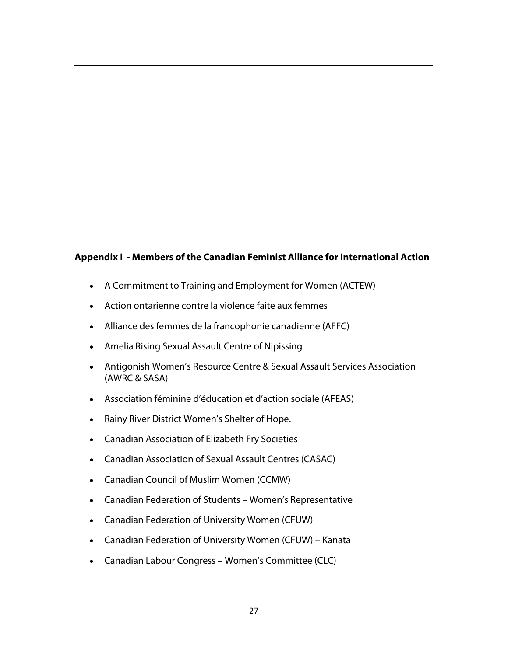#### **Appendix I - Members of the Canadian Feminist Alliance for International Action**

- A Commitment to Training and Employment for Women (ACTEW)
- Action ontarienne contre la violence faite aux femmes
- Alliance des femmes de la francophonie canadienne (AFFC)
- Amelia Rising Sexual Assault Centre of Nipissing

- Antigonish Women's Resource Centre & Sexual Assault Services Association (AWRC & SASA)
- Association féminine d'éducation et d'action sociale (AFEAS)
- Rainy River District Women's Shelter of Hope.
- Canadian Association of Elizabeth Fry Societies
- Canadian Association of Sexual Assault Centres (CASAC)
- Canadian Council of Muslim Women (CCMW)
- Canadian Federation of Students Women's Representative
- Canadian Federation of University Women (CFUW)
- Canadian Federation of University Women (CFUW) Kanata
- Canadian Labour Congress Women's Committee (CLC)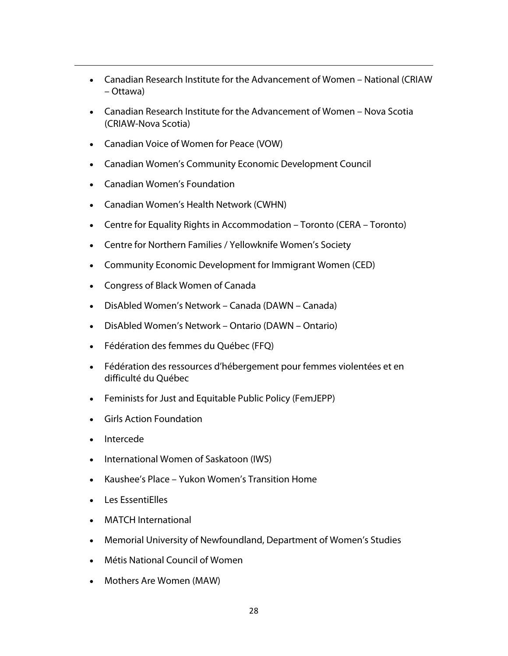- Canadian Research Institute for the Advancement of Women National (CRIAW – Ottawa)
- Canadian Research Institute for the Advancement of Women Nova Scotia (CRIAW-Nova Scotia)
- Canadian Voice of Women for Peace (VOW)
- Canadian Women's Community Economic Development Council
- Canadian Women's Foundation

- Canadian Women's Health Network (CWHN)
- Centre for Equality Rights in Accommodation Toronto (CERA Toronto)
- Centre for Northern Families / Yellowknife Women's Society
- Community Economic Development for Immigrant Women (CED)
- Congress of Black Women of Canada
- DisAbled Women's Network Canada (DAWN Canada)
- DisAbled Women's Network Ontario (DAWN Ontario)
- Fédération des femmes du Québec (FFQ)
- [Fédération des ressources d'hébergement pour femmes violentées et en](http://www.fede.qc.ca/)  [difficulté du Québec](http://www.fede.qc.ca/)
- Feminists for Just and Equitable Public Policy (FemJEPP)
- Girls Action Foundation
- Intercede
- International Women of Saskatoon (IWS)
- Kaushee's Place Yukon Women's Transition Home
- Les EssentiElles
- MATCH International
- Memorial University of Newfoundland, Department of Women's Studies
- Métis National Council of Women
- Mothers Are Women (MAW)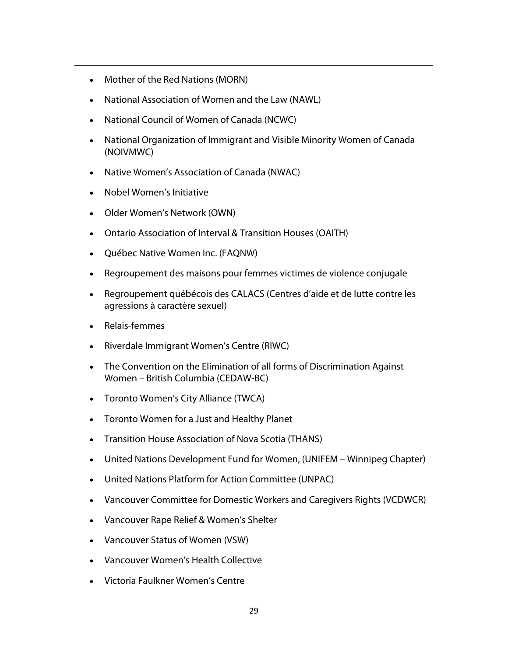• Mother of the Red Nations (MORN)

- National Association of Women and the Law (NAWL)
- National Council of Women of Canada (NCWC)
- National Organization of Immigrant and Visible Minority Women of Canada (NOIVMWC)
- Native Women's Association of Canada (NWAC)
- Nobel Women's Initiative
- Older Women's Network (OWN)
- Ontario Association of Interval & Transition Houses (OAITH)
- Québec Native Women Inc. (FAQNW)
- [Regroupement des maisons pour femmes victimes de violence conjugale](http://www.maisons-femmes.qc.ca/)
- [Regroupement québécois des CALACS \(Centres d'aide et de lutte contre les](http://www.rqcalacs.qc.ca/)  [agressions à caractère sexuel\)](http://www.rqcalacs.qc.ca/)
- [Relais-femmes](http://www.relais-femmes.qc.ca/)
- Riverdale Immigrant Women's Centre (RIWC)
- The Convention on the Elimination of all forms of Discrimination Against Women – British Columbia (CEDAW-BC)
- Toronto Women's City Alliance (TWCA)
- Toronto Women for a Just and Healthy Planet
- Transition House Association of Nova Scotia (THANS)
- United Nations Development Fund for Women, (UNIFEM Winnipeg Chapter)
- United Nations Platform for Action Committee (UNPAC)
- Vancouver Committee for Domestic Workers and Caregivers Rights (VCDWCR)
- Vancouver Rape Relief & Women's Shelter
- Vancouver Status of Women (VSW)
- Vancouver Women's Health Collective
- Victoria Faulkner Women's Centre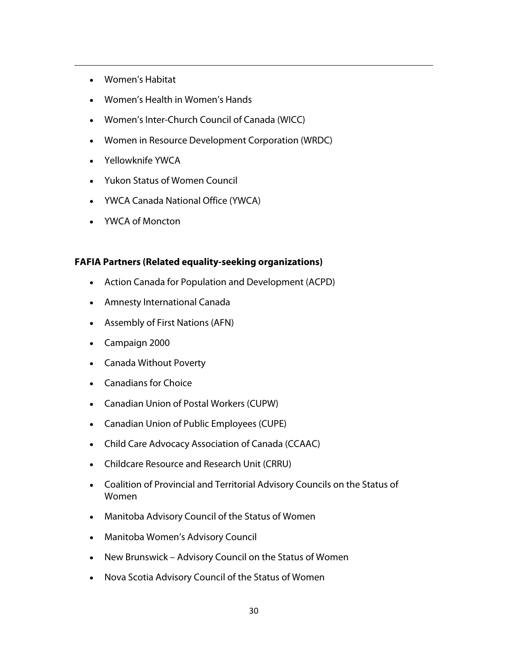• Women's Habitat

 $\overline{\phantom{a}}$ 

- Women's Health in Women's Hands
- Women's Inter-Church Council of Canada (WICC)
- Women in Resource Development Corporation (WRDC)
- Yellowknife YWCA
- Yukon Status of Women Council
- YWCA Canada National Office (YWCA)
- YWCA of Moncton

#### **FAFIA Partners (Related equality-seeking organizations)**

- Action Canada for Population and Development (ACPD)
- Amnesty International Canada
- Assembly of First Nations (AFN)
- Campaign 2000
- Canada Without Poverty
- Canadians for Choice
- Canadian Union of Postal Workers (CUPW)
- Canadian Union of Public Employees (CUPE)
- Child Care Advocacy Association of Canada (CCAAC)
- Childcare Resource and Research Unit (CRRU)
- Coalition of Provincial and Territorial Advisory Councils on the Status of Women
- Manitoba Advisory Council of the Status of Women
- [Manitoba Women's Advisory Council](http://www.gov.mb.ca/msw/index.html?)
- [New Brunswick Advisory Council on the Status of Women](http://www.acswcccf.nb.ca/)
- [Nova Scotia Advisory Council of the Status of Women](http://www.gov.ns.ca/staw/)